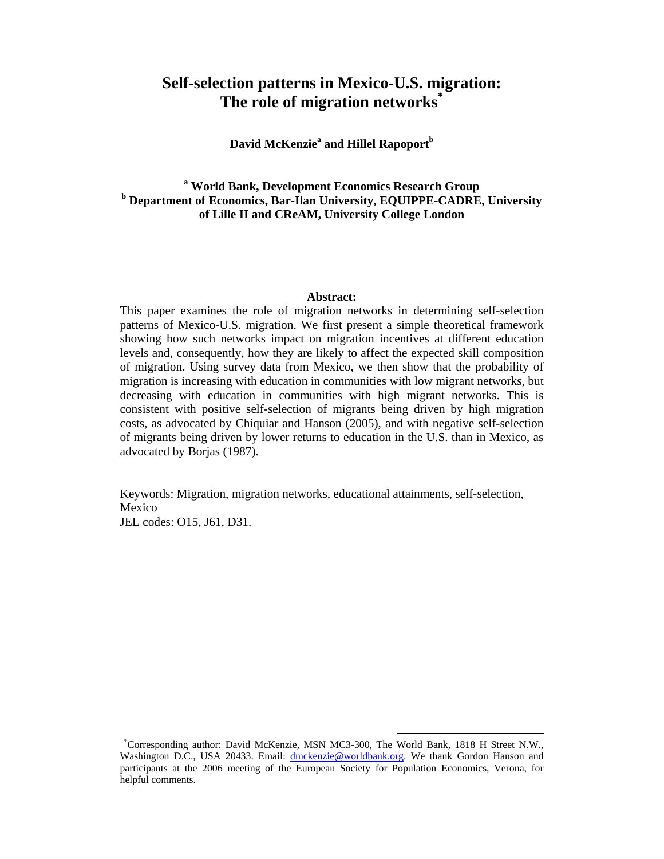# **Self-selection patterns in Mexico-U.S. migration: The role of migration networks\***

 $\mathbf{David} \ \mathbf{McK}$ enzie $\mathrm{^a}$  and Hillel Rapoport $\mathrm{^b}$ 

# **a World Bank, Development Economics Research Group <sup>b</sup> Department of Economics, Bar-Ilan University, EQUIPPE-CADRE, University of Lille II and CReAM, University College London**

#### **Abstract:**

This paper examines the role of migration networks in determining self-selection patterns of Mexico-U.S. migration. We first present a simple theoretical framework showing how such networks impact on migration incentives at different education levels and, consequently, how they are likely to affect the expected skill composition of migration. Using survey data from Mexico, we then show that the probability of migration is increasing with education in communities with low migrant networks, but decreasing with education in communities with high migrant networks. This is consistent with positive self-selection of migrants being driven by high migration costs, as advocated by Chiquiar and Hanson (2005), and with negative self-selection of migrants being driven by lower returns to education in the U.S. than in Mexico, as advocated by Borjas (1987).

Keywords: Migration, migration networks, educational attainments, self-selection, Mexico JEL codes: O15, J61, D31.

<sup>\*</sup>Corresponding author: David McKenzie, MSN MC3-300, The World Bank, 1818 H Street N.W., Washington D.C., USA 20433. Email: dmckenzie@worldbank.org. We thank Gordon Hanson and participants at the 2006 meeting of the European Society for Population Economics, Verona, for helpful comments.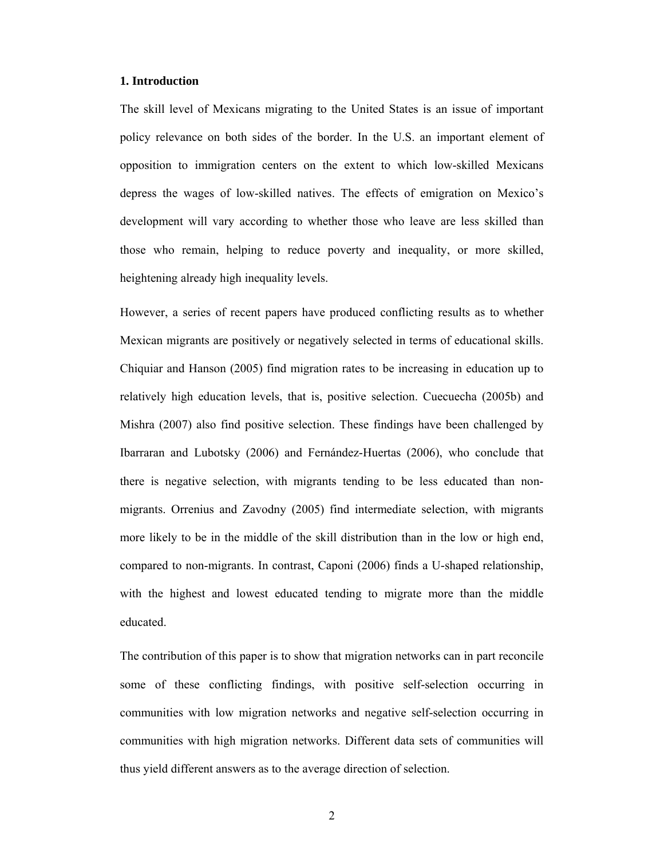#### **1. Introduction**

The skill level of Mexicans migrating to the United States is an issue of important policy relevance on both sides of the border. In the U.S. an important element of opposition to immigration centers on the extent to which low-skilled Mexicans depress the wages of low-skilled natives. The effects of emigration on Mexico's development will vary according to whether those who leave are less skilled than those who remain, helping to reduce poverty and inequality, or more skilled, heightening already high inequality levels.

However, a series of recent papers have produced conflicting results as to whether Mexican migrants are positively or negatively selected in terms of educational skills. Chiquiar and Hanson (2005) find migration rates to be increasing in education up to relatively high education levels, that is, positive selection. Cuecuecha (2005b) and Mishra (2007) also find positive selection. These findings have been challenged by Ibarraran and Lubotsky (2006) and Fernández-Huertas (2006), who conclude that there is negative selection, with migrants tending to be less educated than nonmigrants. Orrenius and Zavodny (2005) find intermediate selection, with migrants more likely to be in the middle of the skill distribution than in the low or high end, compared to non-migrants. In contrast, Caponi (2006) finds a U-shaped relationship, with the highest and lowest educated tending to migrate more than the middle educated.

The contribution of this paper is to show that migration networks can in part reconcile some of these conflicting findings, with positive self-selection occurring in communities with low migration networks and negative self-selection occurring in communities with high migration networks. Different data sets of communities will thus yield different answers as to the average direction of selection.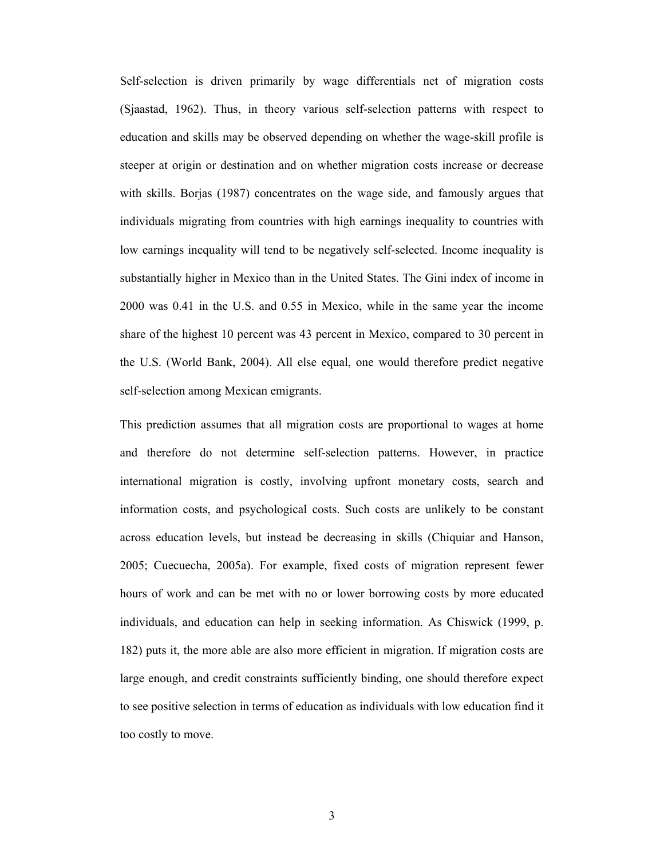Self-selection is driven primarily by wage differentials net of migration costs (Sjaastad, 1962). Thus, in theory various self-selection patterns with respect to education and skills may be observed depending on whether the wage-skill profile is steeper at origin or destination and on whether migration costs increase or decrease with skills. Borjas (1987) concentrates on the wage side, and famously argues that individuals migrating from countries with high earnings inequality to countries with low earnings inequality will tend to be negatively self-selected. Income inequality is substantially higher in Mexico than in the United States. The Gini index of income in 2000 was 0.41 in the U.S. and 0.55 in Mexico, while in the same year the income share of the highest 10 percent was 43 percent in Mexico, compared to 30 percent in the U.S. (World Bank, 2004). All else equal, one would therefore predict negative self-selection among Mexican emigrants.

This prediction assumes that all migration costs are proportional to wages at home and therefore do not determine self-selection patterns. However, in practice international migration is costly, involving upfront monetary costs, search and information costs, and psychological costs. Such costs are unlikely to be constant across education levels, but instead be decreasing in skills (Chiquiar and Hanson, 2005; Cuecuecha, 2005a). For example, fixed costs of migration represent fewer hours of work and can be met with no or lower borrowing costs by more educated individuals, and education can help in seeking information. As Chiswick (1999, p. 182) puts it, the more able are also more efficient in migration. If migration costs are large enough, and credit constraints sufficiently binding, one should therefore expect to see positive selection in terms of education as individuals with low education find it too costly to move.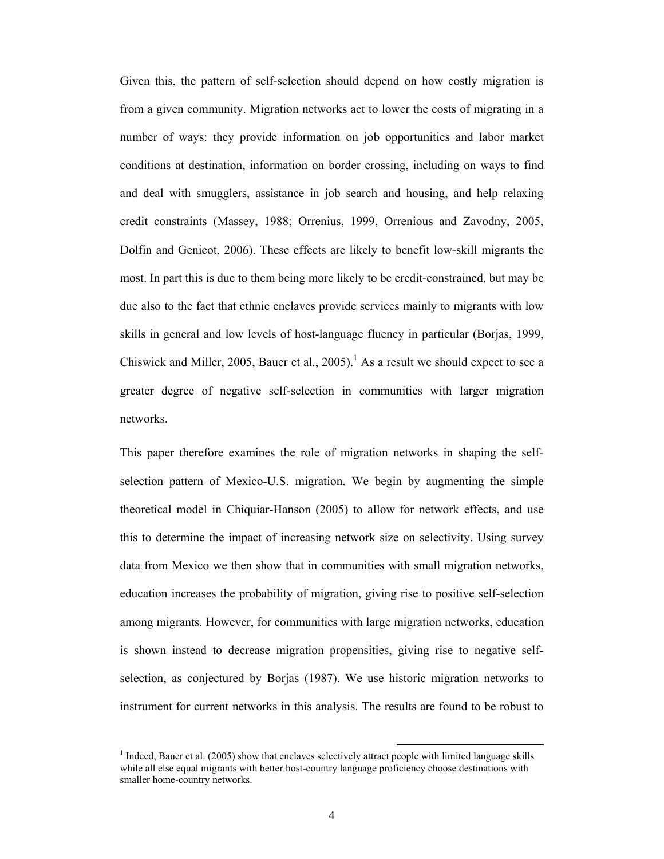Given this, the pattern of self-selection should depend on how costly migration is from a given community. Migration networks act to lower the costs of migrating in a number of ways: they provide information on job opportunities and labor market conditions at destination, information on border crossing, including on ways to find and deal with smugglers, assistance in job search and housing, and help relaxing credit constraints (Massey, 1988; Orrenius, 1999, Orrenious and Zavodny, 2005, Dolfin and Genicot, 2006). These effects are likely to benefit low-skill migrants the most. In part this is due to them being more likely to be credit-constrained, but may be due also to the fact that ethnic enclaves provide services mainly to migrants with low skills in general and low levels of host-language fluency in particular (Borjas, 1999, Chiswick and Miller, 2005, Bauer et al., 2005).<sup>1</sup> As a result we should expect to see a greater degree of negative self-selection in communities with larger migration networks.

This paper therefore examines the role of migration networks in shaping the selfselection pattern of Mexico-U.S. migration. We begin by augmenting the simple theoretical model in Chiquiar-Hanson (2005) to allow for network effects, and use this to determine the impact of increasing network size on selectivity. Using survey data from Mexico we then show that in communities with small migration networks, education increases the probability of migration, giving rise to positive self-selection among migrants. However, for communities with large migration networks, education is shown instead to decrease migration propensities, giving rise to negative selfselection, as conjectured by Borjas (1987). We use historic migration networks to instrument for current networks in this analysis. The results are found to be robust to

<sup>&</sup>lt;sup>1</sup> Indeed, Bauer et al. (2005) show that enclaves selectively attract people with limited language skills while all else equal migrants with better host-country language proficiency choose destinations with smaller home-country networks.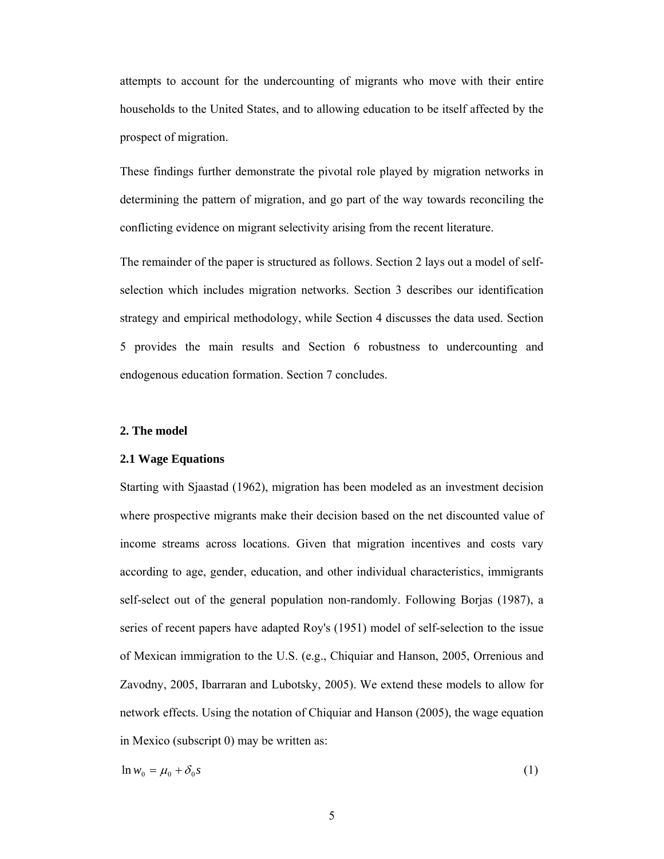attempts to account for the undercounting of migrants who move with their entire households to the United States, and to allowing education to be itself affected by the prospect of migration.

These findings further demonstrate the pivotal role played by migration networks in determining the pattern of migration, and go part of the way towards reconciling the conflicting evidence on migrant selectivity arising from the recent literature.

The remainder of the paper is structured as follows. Section 2 lays out a model of selfselection which includes migration networks. Section 3 describes our identification strategy and empirical methodology, while Section 4 discusses the data used. Section 5 provides the main results and Section 6 robustness to undercounting and endogenous education formation. Section 7 concludes.

# **2. The model**

# **2.1 Wage Equations**

Starting with Sjaastad (1962), migration has been modeled as an investment decision where prospective migrants make their decision based on the net discounted value of income streams across locations. Given that migration incentives and costs vary according to age, gender, education, and other individual characteristics, immigrants self-select out of the general population non-randomly. Following Borjas (1987), a series of recent papers have adapted Roy's (1951) model of self-selection to the issue of Mexican immigration to the U.S. (e.g., Chiquiar and Hanson, 2005, Orrenious and Zavodny, 2005, Ibarraran and Lubotsky, 2005). We extend these models to allow for network effects. Using the notation of Chiquiar and Hanson (2005), the wage equation in Mexico (subscript 0) may be written as:

 $\ln w_0 = \mu_0 + \delta_0 s$  (1)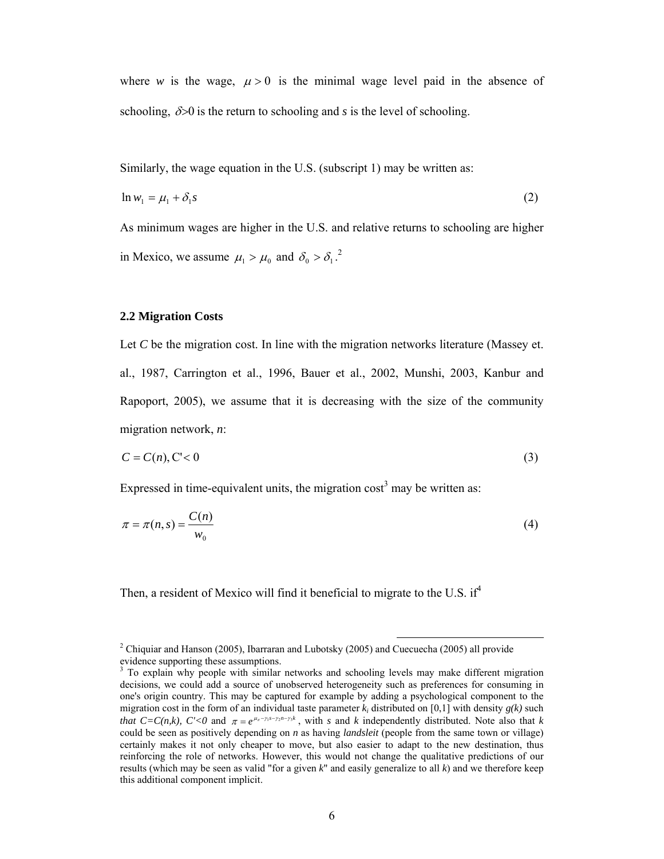where *w* is the wage,  $\mu > 0$  is the minimal wage level paid in the absence of schooling,  $\delta$  > 0 is the return to schooling and *s* is the level of schooling.

Similarly, the wage equation in the U.S. (subscript 1) may be written as:

$$
\ln w_1 = \mu_1 + \delta_1 s \tag{2}
$$

As minimum wages are higher in the U.S. and relative returns to schooling are higher in Mexico, we assume  $\mu_1 > \mu_0$  and  $\delta_0 > \delta_1$ .<sup>2</sup>

#### **2.2 Migration Costs**

Let *C* be the migration cost. In line with the migration networks literature (Massey et. al., 1987, Carrington et al., 1996, Bauer et al., 2002, Munshi, 2003, Kanbur and Rapoport, 2005), we assume that it is decreasing with the size of the community migration network, *n*:

$$
C = C(n), C' < 0 \tag{3}
$$

Expressed in time-equivalent units, the migration  $\cos t^3$  may be written as:

$$
\pi = \pi(n,s) = \frac{C(n)}{w_0} \tag{4}
$$

Then, a resident of Mexico will find it beneficial to migrate to the U.S. if<sup>4</sup>

<sup>&</sup>lt;sup>2</sup> Chiquiar and Hanson (2005), Ibarraran and Lubotsky (2005) and Cuecuecha (2005) all provide

evidence supporting these assumptions.<br><sup>3</sup> To explain why people with similar networks and schooling levels may make different migration decisions, we could add a source of unobserved heterogeneity such as preferences for consuming in one's origin country. This may be captured for example by adding a psychological component to the migration cost in the form of an individual taste parameter  $k_i$  distributed on [0,1] with density  $g(k)$  such *that*  $C=C(n,k)$ ,  $C' < 0$  and  $\pi = e^{\mu_{\pi}-\gamma_1 s - \gamma_2 n - \gamma_3 k}$ , with *s* and *k* independently distributed. Note also that *k* could be seen as positively depending on *n* as having *landsleit* (people from the same town or village) certainly makes it not only cheaper to move, but also easier to adapt to the new destination, thus reinforcing the role of networks. However, this would not change the qualitative predictions of our results (which may be seen as valid "for a given *k*" and easily generalize to all *k*) and we therefore keep this additional component implicit.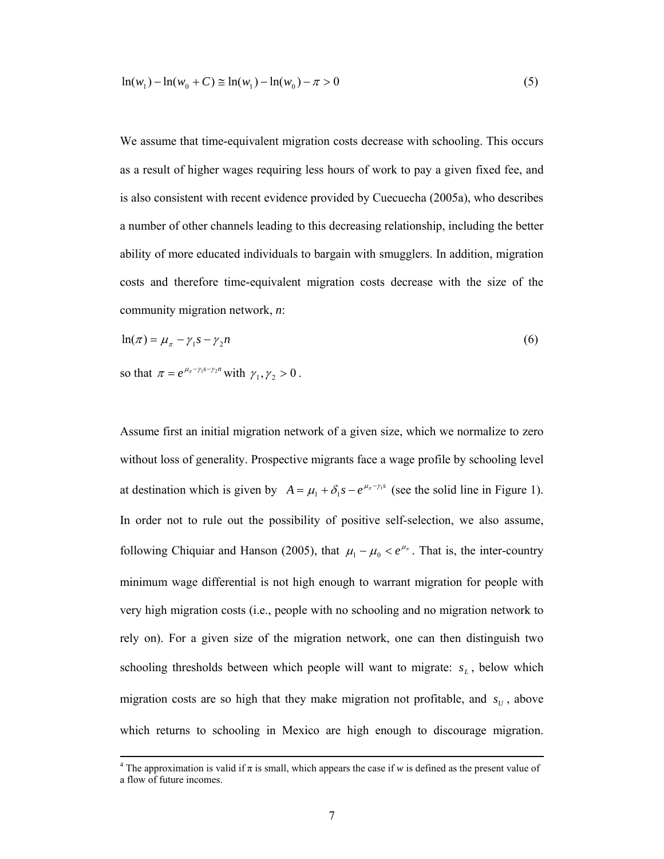$$
\ln(w_1) - \ln(w_0 + C) \approx \ln(w_1) - \ln(w_0) - \pi > 0
$$
\n(5)

We assume that time-equivalent migration costs decrease with schooling. This occurs as a result of higher wages requiring less hours of work to pay a given fixed fee, and is also consistent with recent evidence provided by Cuecuecha (2005a), who describes a number of other channels leading to this decreasing relationship, including the better ability of more educated individuals to bargain with smugglers. In addition, migration costs and therefore time-equivalent migration costs decrease with the size of the community migration network, *n*:

$$
\ln(\pi) = \mu_{\pi} - \gamma_1 s - \gamma_2 n \tag{6}
$$

so that  $\pi = e^{\mu_{\pi} - \gamma_1 s - \gamma_2 n}$  with  $\gamma_1, \gamma_2 > 0$ .

Assume first an initial migration network of a given size, which we normalize to zero without loss of generality. Prospective migrants face a wage profile by schooling level at destination which is given by  $A = \mu_1 + \delta_1 s - e^{\mu_\pi - \gamma_1 s}$  (see the solid line in Figure 1). In order not to rule out the possibility of positive self-selection, we also assume, following Chiquiar and Hanson (2005), that  $\mu_1 - \mu_0 < e^{\mu_{\pi}}$ . That is, the inter-country minimum wage differential is not high enough to warrant migration for people with very high migration costs (i.e., people with no schooling and no migration network to rely on). For a given size of the migration network, one can then distinguish two schooling thresholds between which people will want to migrate:  $s_L$ , below which migration costs are so high that they make migration not profitable, and  $s_U$ , above which returns to schooling in Mexico are high enough to discourage migration.

 $\frac{1}{4}$ <sup>4</sup> The approximation is valid if  $\pi$  is small, which appears the case if *w* is defined as the present value of a flow of future incomes.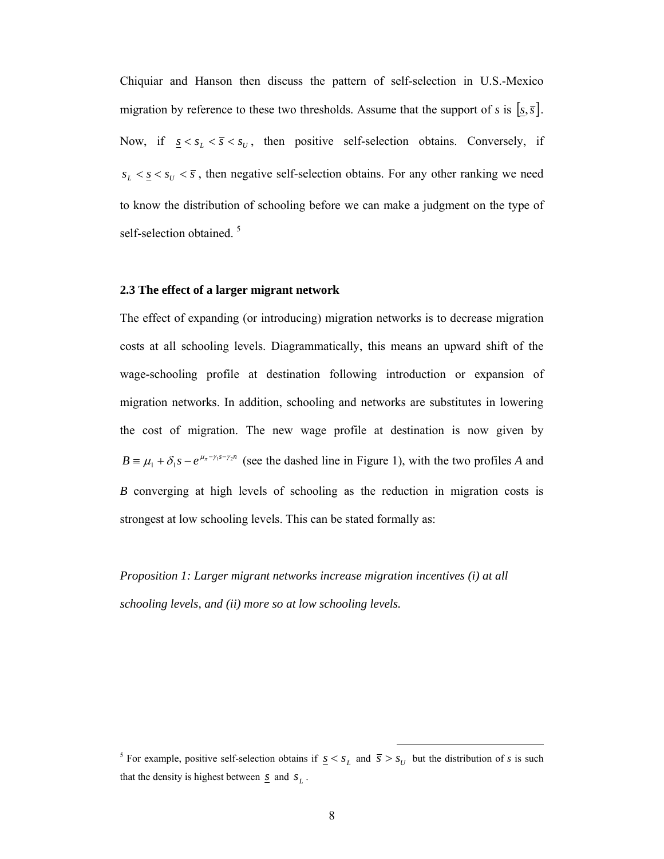Chiquiar and Hanson then discuss the pattern of self-selection in U.S.-Mexico migration by reference to these two thresholds. Assume that the support of *s* is  $[s, \overline{s}]$ . Now, if  $\underline{s} < s_L < \overline{s} < s_U$ , then positive self-selection obtains. Conversely, if  $s_L < s \leq s_U < \overline{s}$ , then negative self-selection obtains. For any other ranking we need to know the distribution of schooling before we can make a judgment on the type of self-selection obtained.<sup>5</sup>

#### **2.3 The effect of a larger migrant network**

The effect of expanding (or introducing) migration networks is to decrease migration costs at all schooling levels. Diagrammatically, this means an upward shift of the wage-schooling profile at destination following introduction or expansion of migration networks. In addition, schooling and networks are substitutes in lowering the cost of migration. The new wage profile at destination is now given by  $B = \mu_1 + \delta_1 s - e^{\mu_\pi - \gamma_1 s - \gamma_2 n}$  (see the dashed line in Figure 1), with the two profiles *A* and *B* converging at high levels of schooling as the reduction in migration costs is strongest at low schooling levels. This can be stated formally as:

*Proposition 1: Larger migrant networks increase migration incentives (i) at all schooling levels, and (ii) more so at low schooling levels.* 

<sup>&</sup>lt;sup>5</sup> For example, positive self-selection obtains if  $\underline{s} < s_L$  and  $\overline{s} > s_U$  but the distribution of *s* is such that the density is highest between  $\underline{s}$  and  $s_L$ .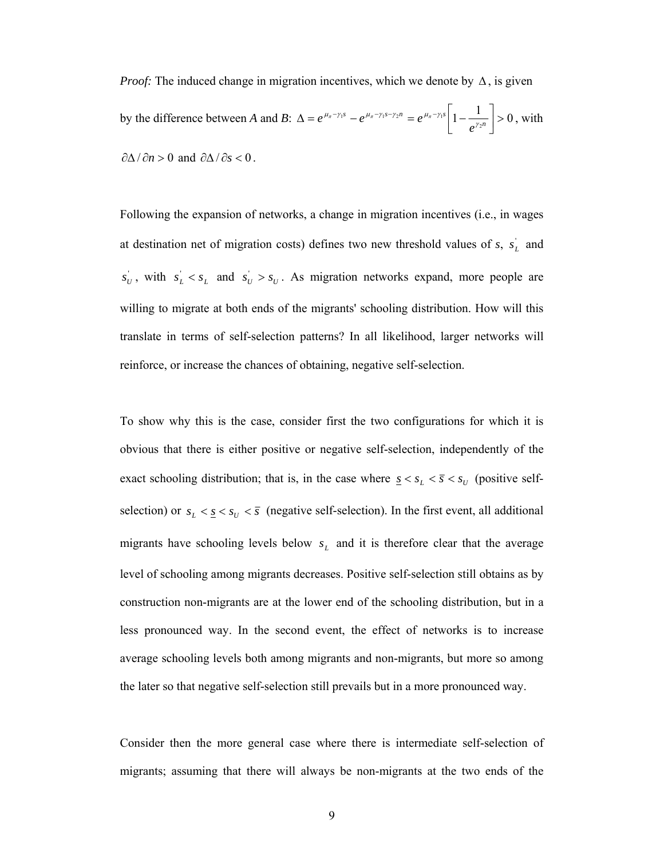*Proof:* The induced change in migration incentives, which we denote by  $\Delta$ , is given by the difference between *A* and *B*:  $\Delta = e^{\mu_{\pi} - \gamma_1 s} - e^{\mu_{\pi} - \gamma_1 s - \gamma_2 n} = e^{\mu_{\pi} - \gamma_1 s} \left[ 1 - \frac{1}{e^{\gamma_2 n}} \right] > 0$  $\Delta = e^{\mu_{\pi} - \gamma_1 s} - e^{\mu_{\pi} - \gamma_1 s - \gamma_2 n} = e^{\mu_{\pi} - \gamma_1 s} \left[ 1 - \frac{1}{\gamma_2 n} \right]$ *s*  $\alpha \mu_{\pi} - \gamma_1 s - \gamma_2 n$   $\beta \mu_{\pi} - \gamma_1 s$  $e^{\mu_{\pi}-\gamma_1 s}-e^{\mu_{\pi}-\gamma_1 s-\gamma_2 n}=e^{\mu_{\pi}-\gamma_1 s}\left[1-\frac{1}{e^{\gamma_2 n}}\right]>0$ , with  $\partial \Delta / \partial n > 0$  and  $\partial \Delta / \partial s < 0$ .

Following the expansion of networks, a change in migration incentives (i.e., in wages at destination net of migration costs) defines two new threshold values of  $s$ ,  $s_L$  and  $s_U$ , with  $s_L < s_L$  and  $s_U > s_U$ . As migration networks expand, more people are willing to migrate at both ends of the migrants' schooling distribution. How will this translate in terms of self-selection patterns? In all likelihood, larger networks will reinforce, or increase the chances of obtaining, negative self-selection.

To show why this is the case, consider first the two configurations for which it is obvious that there is either positive or negative self-selection, independently of the exact schooling distribution; that is, in the case where  $\underline{s} < s_L < \overline{s} < s_U$  (positive selfselection) or  $s_L < s_C < s_U < \overline{s}$  (negative self-selection). In the first event, all additional migrants have schooling levels below  $s<sub>L</sub>$  and it is therefore clear that the average level of schooling among migrants decreases. Positive self-selection still obtains as by construction non-migrants are at the lower end of the schooling distribution, but in a less pronounced way. In the second event, the effect of networks is to increase average schooling levels both among migrants and non-migrants, but more so among the later so that negative self-selection still prevails but in a more pronounced way.

Consider then the more general case where there is intermediate self-selection of migrants; assuming that there will always be non-migrants at the two ends of the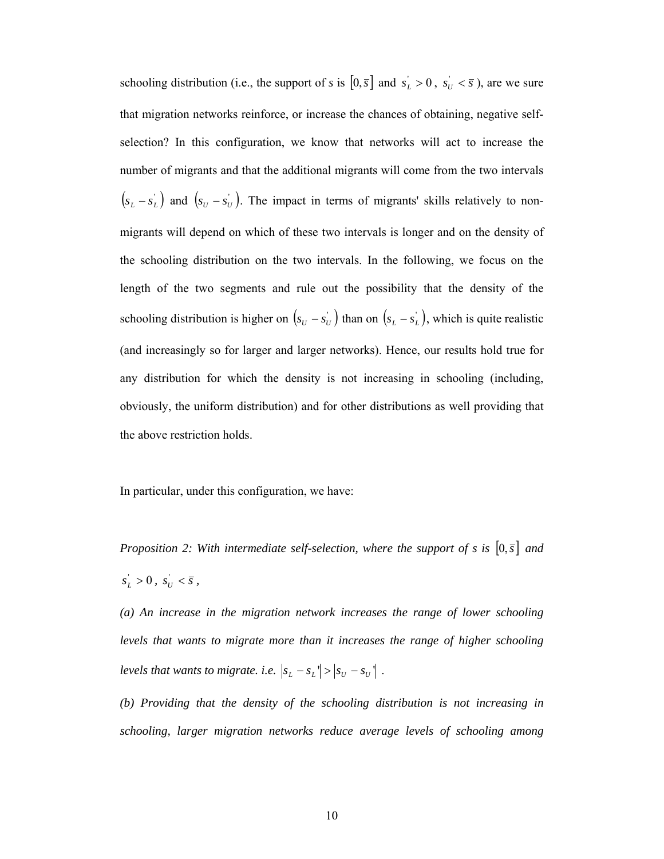schooling distribution (i.e., the support of *s* is  $[0, \bar{s}]$  and  $s_L > 0$ ,  $s_U < \bar{s}$ ), are we sure that migration networks reinforce, or increase the chances of obtaining, negative selfselection? In this configuration, we know that networks will act to increase the number of migrants and that the additional migrants will come from the two intervals  $(s_L - s_L)$  and  $(s_U - s_U)$ . The impact in terms of migrants' skills relatively to nonmigrants will depend on which of these two intervals is longer and on the density of the schooling distribution on the two intervals. In the following, we focus on the length of the two segments and rule out the possibility that the density of the schooling distribution is higher on  $(s_U - s_U)$  than on  $(s_L - s_L)$ , which is quite realistic (and increasingly so for larger and larger networks). Hence, our results hold true for any distribution for which the density is not increasing in schooling (including, obviously, the uniform distribution) and for other distributions as well providing that the above restriction holds.

In particular, under this configuration, we have:

*Proposition 2: With intermediate self-selection, where the support of s is*  $[0,\overline{s}]$  *and*  $s_L > 0$ ,  $s_U < \bar{s}$ ,

*(a) An increase in the migration network increases the range of lower schooling levels that wants to migrate more than it increases the range of higher schooling levels that wants to migrate. i.e.*  $|s_L - s_L| > |s_U - s_U|$ .

*(b) Providing that the density of the schooling distribution is not increasing in schooling, larger migration networks reduce average levels of schooling among*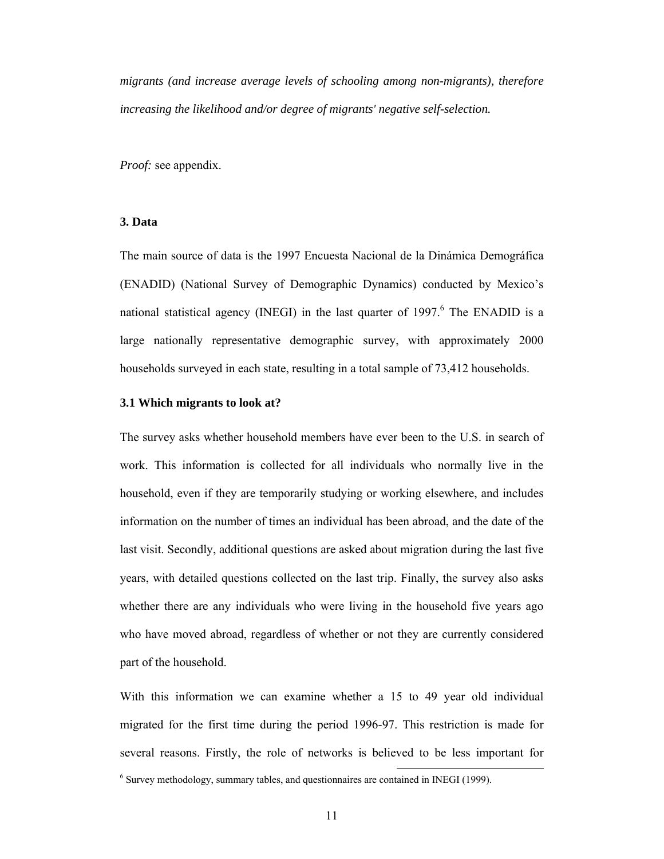*migrants (and increase average levels of schooling among non-migrants), therefore increasing the likelihood and/or degree of migrants' negative self-selection.* 

*Proof:* see appendix.

# **3. Data**

The main source of data is the 1997 Encuesta Nacional de la Dinámica Demográfica (ENADID) (National Survey of Demographic Dynamics) conducted by Mexico's national statistical agency (INEGI) in the last quarter of 1997.<sup>6</sup> The ENADID is a large nationally representative demographic survey, with approximately 2000 households surveyed in each state, resulting in a total sample of 73,412 households.

#### **3.1 Which migrants to look at?**

The survey asks whether household members have ever been to the U.S. in search of work. This information is collected for all individuals who normally live in the household, even if they are temporarily studying or working elsewhere, and includes information on the number of times an individual has been abroad, and the date of the last visit. Secondly, additional questions are asked about migration during the last five years, with detailed questions collected on the last trip. Finally, the survey also asks whether there are any individuals who were living in the household five years ago who have moved abroad, regardless of whether or not they are currently considered part of the household.

With this information we can examine whether a 15 to 49 year old individual migrated for the first time during the period 1996-97. This restriction is made for several reasons. Firstly, the role of networks is believed to be less important for <sup>6</sup> Survey methodology, summary tables, and questionnaires are contained in INEGI (1999).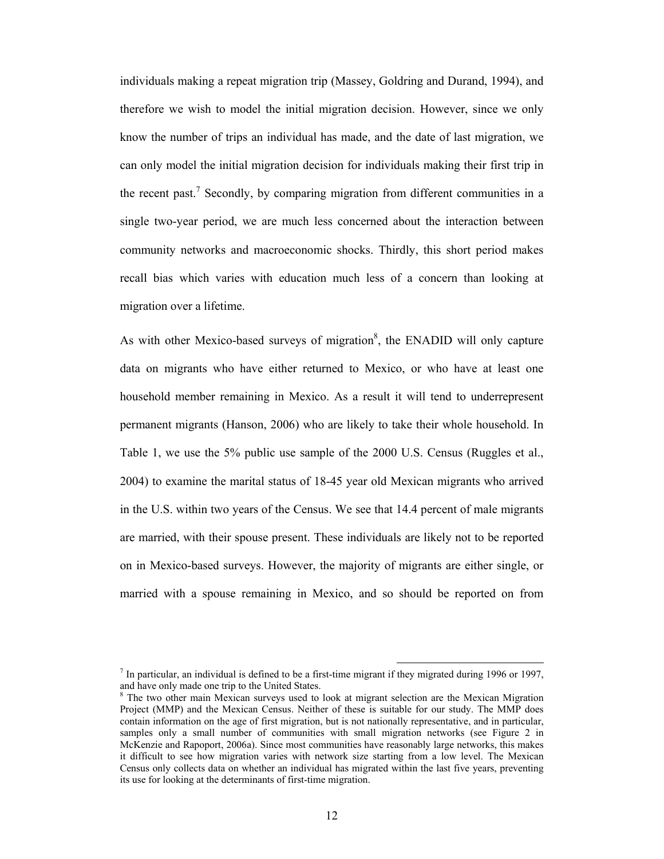individuals making a repeat migration trip (Massey, Goldring and Durand, 1994), and therefore we wish to model the initial migration decision. However, since we only know the number of trips an individual has made, and the date of last migration, we can only model the initial migration decision for individuals making their first trip in the recent past.<sup>7</sup> Secondly, by comparing migration from different communities in a single two-year period, we are much less concerned about the interaction between community networks and macroeconomic shocks. Thirdly, this short period makes recall bias which varies with education much less of a concern than looking at migration over a lifetime.

As with other Mexico-based surveys of migration<sup>8</sup>, the ENADID will only capture data on migrants who have either returned to Mexico, or who have at least one household member remaining in Mexico. As a result it will tend to underrepresent permanent migrants (Hanson, 2006) who are likely to take their whole household. In Table 1, we use the 5% public use sample of the 2000 U.S. Census (Ruggles et al., 2004) to examine the marital status of 18-45 year old Mexican migrants who arrived in the U.S. within two years of the Census. We see that 14.4 percent of male migrants are married, with their spouse present. These individuals are likely not to be reported on in Mexico-based surveys. However, the majority of migrants are either single, or married with a spouse remaining in Mexico, and so should be reported on from

<sup>&</sup>lt;sup>7</sup> In particular, an individual is defined to be a first-time migrant if they migrated during 1996 or 1997, and have only made one trip to the United States.

<sup>8</sup> The two other main Mexican surveys used to look at migrant selection are the Mexican Migration Project (MMP) and the Mexican Census. Neither of these is suitable for our study. The MMP does contain information on the age of first migration, but is not nationally representative, and in particular, samples only a small number of communities with small migration networks (see Figure 2 in McKenzie and Rapoport, 2006a). Since most communities have reasonably large networks, this makes it difficult to see how migration varies with network size starting from a low level. The Mexican Census only collects data on whether an individual has migrated within the last five years, preventing its use for looking at the determinants of first-time migration.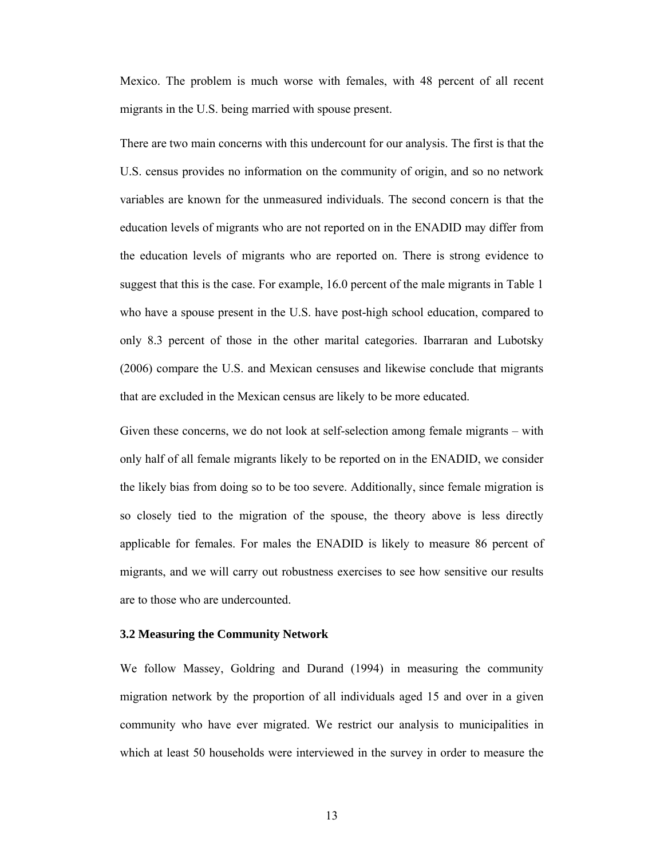Mexico. The problem is much worse with females, with 48 percent of all recent migrants in the U.S. being married with spouse present.

There are two main concerns with this undercount for our analysis. The first is that the U.S. census provides no information on the community of origin, and so no network variables are known for the unmeasured individuals. The second concern is that the education levels of migrants who are not reported on in the ENADID may differ from the education levels of migrants who are reported on. There is strong evidence to suggest that this is the case. For example, 16.0 percent of the male migrants in Table 1 who have a spouse present in the U.S. have post-high school education, compared to only 8.3 percent of those in the other marital categories. Ibarraran and Lubotsky (2006) compare the U.S. and Mexican censuses and likewise conclude that migrants that are excluded in the Mexican census are likely to be more educated.

Given these concerns, we do not look at self-selection among female migrants – with only half of all female migrants likely to be reported on in the ENADID, we consider the likely bias from doing so to be too severe. Additionally, since female migration is so closely tied to the migration of the spouse, the theory above is less directly applicable for females. For males the ENADID is likely to measure 86 percent of migrants, and we will carry out robustness exercises to see how sensitive our results are to those who are undercounted.

#### **3.2 Measuring the Community Network**

We follow Massey, Goldring and Durand (1994) in measuring the community migration network by the proportion of all individuals aged 15 and over in a given community who have ever migrated. We restrict our analysis to municipalities in which at least 50 households were interviewed in the survey in order to measure the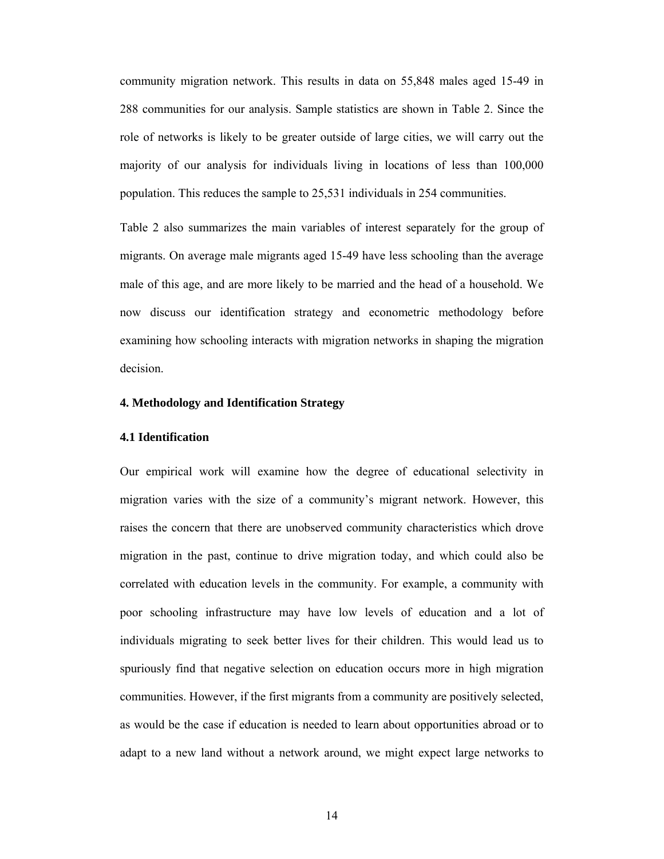community migration network. This results in data on 55,848 males aged 15-49 in 288 communities for our analysis. Sample statistics are shown in Table 2. Since the role of networks is likely to be greater outside of large cities, we will carry out the majority of our analysis for individuals living in locations of less than 100,000 population. This reduces the sample to 25,531 individuals in 254 communities.

Table 2 also summarizes the main variables of interest separately for the group of migrants. On average male migrants aged 15-49 have less schooling than the average male of this age, and are more likely to be married and the head of a household. We now discuss our identification strategy and econometric methodology before examining how schooling interacts with migration networks in shaping the migration decision.

### **4. Methodology and Identification Strategy**

#### **4.1 Identification**

Our empirical work will examine how the degree of educational selectivity in migration varies with the size of a community's migrant network. However, this raises the concern that there are unobserved community characteristics which drove migration in the past, continue to drive migration today, and which could also be correlated with education levels in the community. For example, a community with poor schooling infrastructure may have low levels of education and a lot of individuals migrating to seek better lives for their children. This would lead us to spuriously find that negative selection on education occurs more in high migration communities. However, if the first migrants from a community are positively selected, as would be the case if education is needed to learn about opportunities abroad or to adapt to a new land without a network around, we might expect large networks to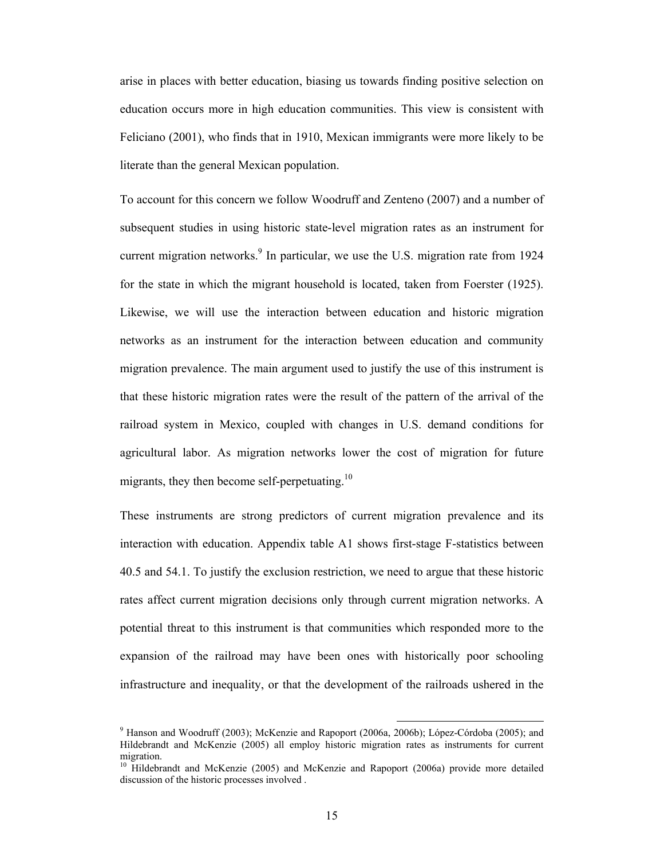arise in places with better education, biasing us towards finding positive selection on education occurs more in high education communities. This view is consistent with Feliciano (2001), who finds that in 1910, Mexican immigrants were more likely to be literate than the general Mexican population.

To account for this concern we follow Woodruff and Zenteno (2007) and a number of subsequent studies in using historic state-level migration rates as an instrument for current migration networks. $\degree$  In particular, we use the U.S. migration rate from 1924 for the state in which the migrant household is located, taken from Foerster (1925). Likewise, we will use the interaction between education and historic migration networks as an instrument for the interaction between education and community migration prevalence. The main argument used to justify the use of this instrument is that these historic migration rates were the result of the pattern of the arrival of the railroad system in Mexico, coupled with changes in U.S. demand conditions for agricultural labor. As migration networks lower the cost of migration for future migrants, they then become self-perpetuating. $10$ 

These instruments are strong predictors of current migration prevalence and its interaction with education. Appendix table A1 shows first-stage F-statistics between 40.5 and 54.1. To justify the exclusion restriction, we need to argue that these historic rates affect current migration decisions only through current migration networks. A potential threat to this instrument is that communities which responded more to the expansion of the railroad may have been ones with historically poor schooling infrastructure and inequality, or that the development of the railroads ushered in the

 <sup>9</sup> Hanson and Woodruff (2003); McKenzie and Rapoport (2006a, 2006b); López-Córdoba (2005); and Hildebrandt and McKenzie (2005) all employ historic migration rates as instruments for current migration.

<sup>&</sup>lt;sup>10</sup> Hildebrandt and McKenzie (2005) and McKenzie and Rapoport (2006a) provide more detailed discussion of the historic processes involved .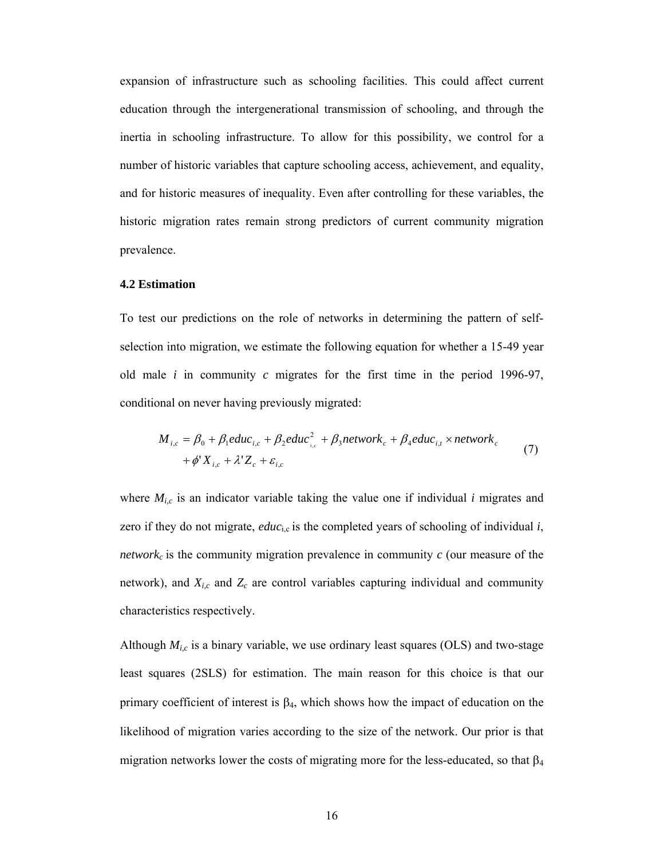expansion of infrastructure such as schooling facilities. This could affect current education through the intergenerational transmission of schooling, and through the inertia in schooling infrastructure. To allow for this possibility, we control for a number of historic variables that capture schooling access, achievement, and equality, and for historic measures of inequality. Even after controlling for these variables, the historic migration rates remain strong predictors of current community migration prevalence.

#### **4.2 Estimation**

To test our predictions on the role of networks in determining the pattern of selfselection into migration, we estimate the following equation for whether a 15-49 year old male *i* in community *c* migrates for the first time in the period 1996-97, conditional on never having previously migrated:

$$
M_{i,c} = \beta_0 + \beta_1 educ_{i,c} + \beta_2 educ_{i,c}^2 + \beta_3 network_c + \beta_4 educ_{i,t} \times network_c
$$
  
+  $\phi' X_{i,c} + \lambda' Z_c + \varepsilon_{i,c}$  (7)

where  $M_{i,c}$  is an indicator variable taking the value one if individual *i* migrates and zero if they do not migrate,  $educ_{i,c}$  is the completed years of schooling of individual  $i$ , *network<sub>c</sub>* is the community migration prevalence in community  $c$  (our measure of the network), and  $X_{i,c}$  and  $Z_c$  are control variables capturing individual and community characteristics respectively.

Although  $M_{i,c}$  is a binary variable, we use ordinary least squares (OLS) and two-stage least squares (2SLS) for estimation. The main reason for this choice is that our primary coefficient of interest is  $β_4$ , which shows how the impact of education on the likelihood of migration varies according to the size of the network. Our prior is that migration networks lower the costs of migrating more for the less-educated, so that  $\beta_4$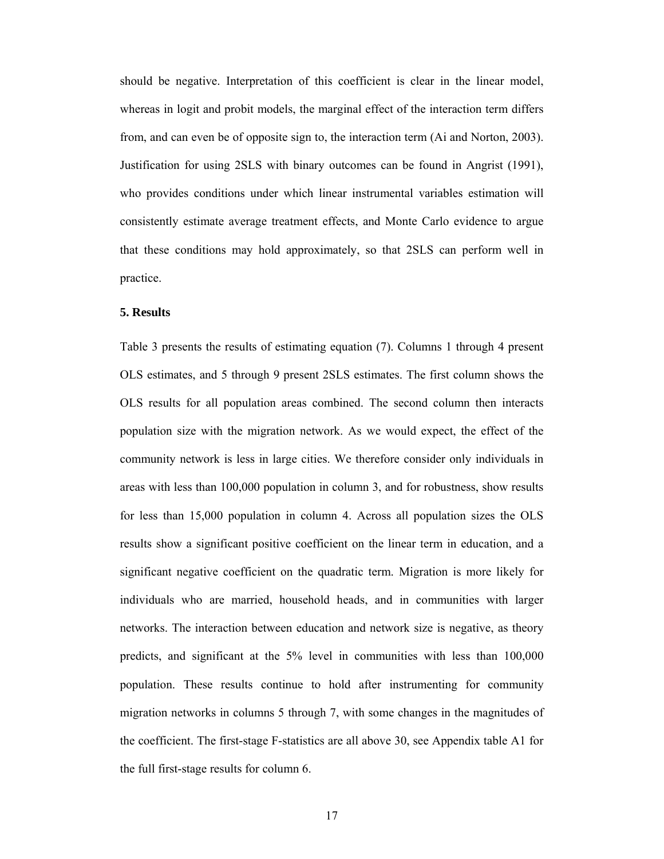should be negative. Interpretation of this coefficient is clear in the linear model, whereas in logit and probit models, the marginal effect of the interaction term differs from, and can even be of opposite sign to, the interaction term (Ai and Norton, 2003). Justification for using 2SLS with binary outcomes can be found in Angrist (1991), who provides conditions under which linear instrumental variables estimation will consistently estimate average treatment effects, and Monte Carlo evidence to argue that these conditions may hold approximately, so that 2SLS can perform well in practice.

#### **5. Results**

Table 3 presents the results of estimating equation (7). Columns 1 through 4 present OLS estimates, and 5 through 9 present 2SLS estimates. The first column shows the OLS results for all population areas combined. The second column then interacts population size with the migration network. As we would expect, the effect of the community network is less in large cities. We therefore consider only individuals in areas with less than 100,000 population in column 3, and for robustness, show results for less than 15,000 population in column 4. Across all population sizes the OLS results show a significant positive coefficient on the linear term in education, and a significant negative coefficient on the quadratic term. Migration is more likely for individuals who are married, household heads, and in communities with larger networks. The interaction between education and network size is negative, as theory predicts, and significant at the 5% level in communities with less than 100,000 population. These results continue to hold after instrumenting for community migration networks in columns 5 through 7, with some changes in the magnitudes of the coefficient. The first-stage F-statistics are all above 30, see Appendix table A1 for the full first-stage results for column 6.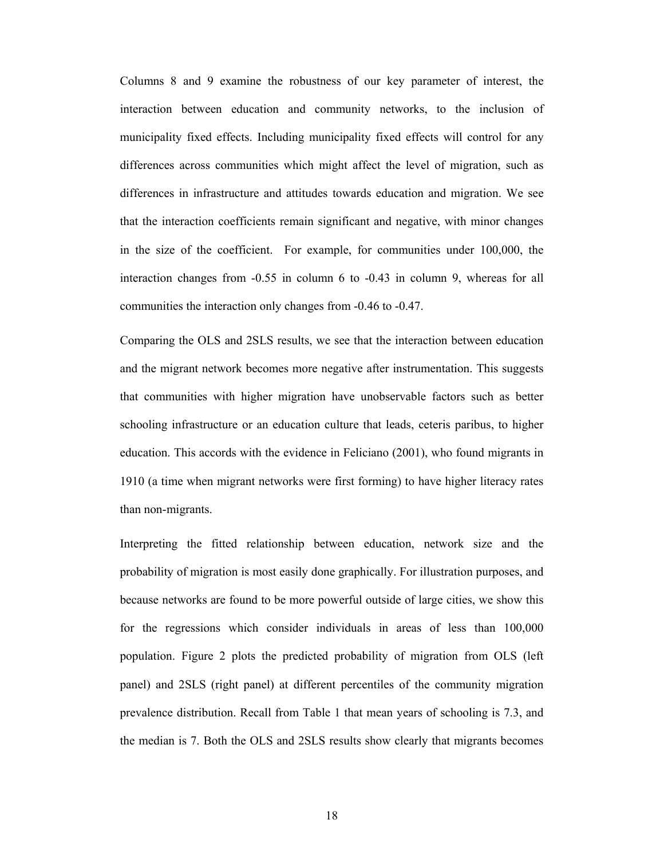Columns 8 and 9 examine the robustness of our key parameter of interest, the interaction between education and community networks, to the inclusion of municipality fixed effects. Including municipality fixed effects will control for any differences across communities which might affect the level of migration, such as differences in infrastructure and attitudes towards education and migration. We see that the interaction coefficients remain significant and negative, with minor changes in the size of the coefficient. For example, for communities under 100,000, the interaction changes from -0.55 in column 6 to -0.43 in column 9, whereas for all communities the interaction only changes from -0.46 to -0.47.

Comparing the OLS and 2SLS results, we see that the interaction between education and the migrant network becomes more negative after instrumentation. This suggests that communities with higher migration have unobservable factors such as better schooling infrastructure or an education culture that leads, ceteris paribus, to higher education. This accords with the evidence in Feliciano (2001), who found migrants in 1910 (a time when migrant networks were first forming) to have higher literacy rates than non-migrants.

Interpreting the fitted relationship between education, network size and the probability of migration is most easily done graphically. For illustration purposes, and because networks are found to be more powerful outside of large cities, we show this for the regressions which consider individuals in areas of less than 100,000 population. Figure 2 plots the predicted probability of migration from OLS (left panel) and 2SLS (right panel) at different percentiles of the community migration prevalence distribution. Recall from Table 1 that mean years of schooling is 7.3, and the median is 7. Both the OLS and 2SLS results show clearly that migrants becomes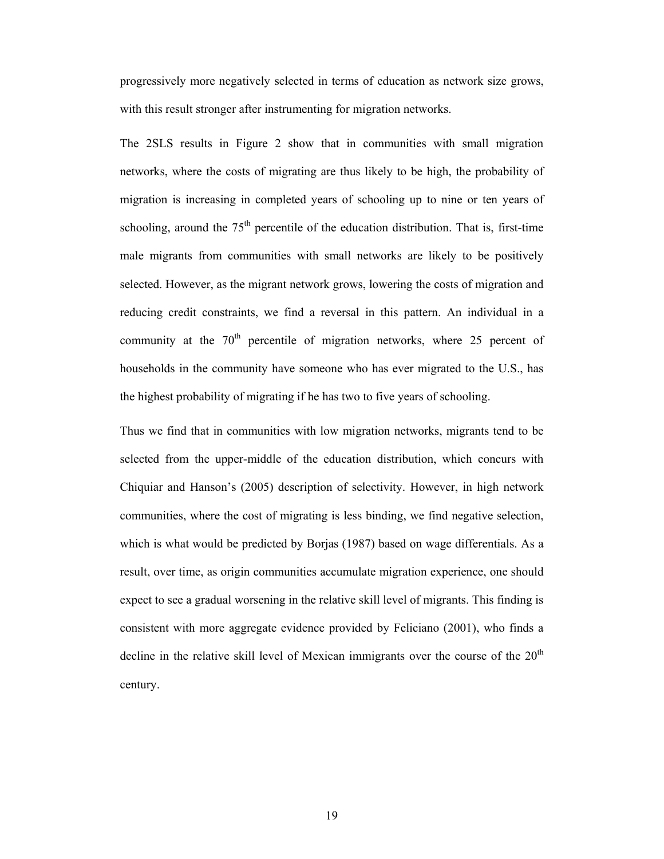progressively more negatively selected in terms of education as network size grows, with this result stronger after instrumenting for migration networks.

The 2SLS results in Figure 2 show that in communities with small migration networks, where the costs of migrating are thus likely to be high, the probability of migration is increasing in completed years of schooling up to nine or ten years of schooling, around the  $75<sup>th</sup>$  percentile of the education distribution. That is, first-time male migrants from communities with small networks are likely to be positively selected. However, as the migrant network grows, lowering the costs of migration and reducing credit constraints, we find a reversal in this pattern. An individual in a community at the  $70<sup>th</sup>$  percentile of migration networks, where 25 percent of households in the community have someone who has ever migrated to the U.S., has the highest probability of migrating if he has two to five years of schooling.

Thus we find that in communities with low migration networks, migrants tend to be selected from the upper-middle of the education distribution, which concurs with Chiquiar and Hanson's (2005) description of selectivity. However, in high network communities, where the cost of migrating is less binding, we find negative selection, which is what would be predicted by Borjas (1987) based on wage differentials. As a result, over time, as origin communities accumulate migration experience, one should expect to see a gradual worsening in the relative skill level of migrants. This finding is consistent with more aggregate evidence provided by Feliciano (2001), who finds a decline in the relative skill level of Mexican immigrants over the course of the  $20<sup>th</sup>$ century.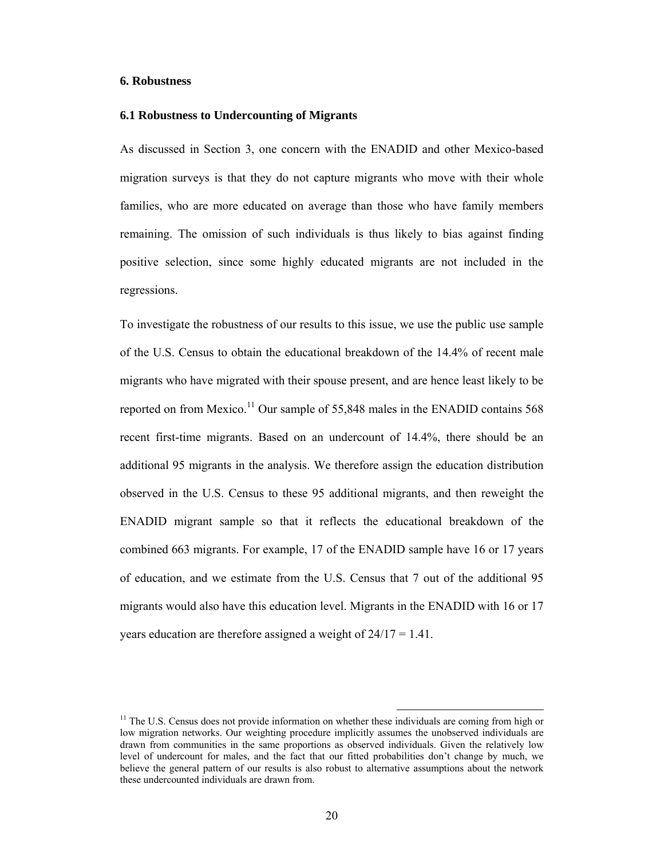#### **6. Robustness**

#### **6.1 Robustness to Undercounting of Migrants**

As discussed in Section 3, one concern with the ENADID and other Mexico-based migration surveys is that they do not capture migrants who move with their whole families, who are more educated on average than those who have family members remaining. The omission of such individuals is thus likely to bias against finding positive selection, since some highly educated migrants are not included in the regressions.

To investigate the robustness of our results to this issue, we use the public use sample of the U.S. Census to obtain the educational breakdown of the 14.4% of recent male migrants who have migrated with their spouse present, and are hence least likely to be reported on from Mexico.<sup>11</sup> Our sample of 55,848 males in the ENADID contains 568 recent first-time migrants. Based on an undercount of 14.4%, there should be an additional 95 migrants in the analysis. We therefore assign the education distribution observed in the U.S. Census to these 95 additional migrants, and then reweight the ENADID migrant sample so that it reflects the educational breakdown of the combined 663 migrants. For example, 17 of the ENADID sample have 16 or 17 years of education, and we estimate from the U.S. Census that 7 out of the additional 95 migrants would also have this education level. Migrants in the ENADID with 16 or 17 years education are therefore assigned a weight of 24/17 = 1.41.

<sup>&</sup>lt;sup>11</sup> The U.S. Census does not provide information on whether these individuals are coming from high or low migration networks. Our weighting procedure implicitly assumes the unobserved individuals are drawn from communities in the same proportions as observed individuals. Given the relatively low level of undercount for males, and the fact that our fitted probabilities don't change by much, we believe the general pattern of our results is also robust to alternative assumptions about the network these undercounted individuals are drawn from.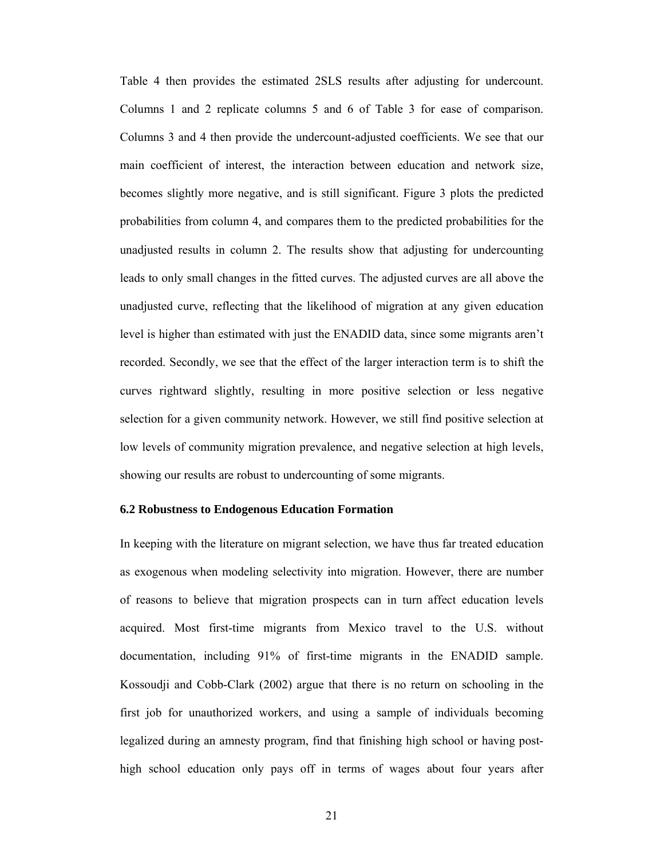Table 4 then provides the estimated 2SLS results after adjusting for undercount. Columns 1 and 2 replicate columns 5 and 6 of Table 3 for ease of comparison. Columns 3 and 4 then provide the undercount-adjusted coefficients. We see that our main coefficient of interest, the interaction between education and network size, becomes slightly more negative, and is still significant. Figure 3 plots the predicted probabilities from column 4, and compares them to the predicted probabilities for the unadjusted results in column 2. The results show that adjusting for undercounting leads to only small changes in the fitted curves. The adjusted curves are all above the unadjusted curve, reflecting that the likelihood of migration at any given education level is higher than estimated with just the ENADID data, since some migrants aren't recorded. Secondly, we see that the effect of the larger interaction term is to shift the curves rightward slightly, resulting in more positive selection or less negative selection for a given community network. However, we still find positive selection at low levels of community migration prevalence, and negative selection at high levels, showing our results are robust to undercounting of some migrants.

#### **6.2 Robustness to Endogenous Education Formation**

In keeping with the literature on migrant selection, we have thus far treated education as exogenous when modeling selectivity into migration. However, there are number of reasons to believe that migration prospects can in turn affect education levels acquired. Most first-time migrants from Mexico travel to the U.S. without documentation, including 91% of first-time migrants in the ENADID sample. Kossoudji and Cobb-Clark (2002) argue that there is no return on schooling in the first job for unauthorized workers, and using a sample of individuals becoming legalized during an amnesty program, find that finishing high school or having posthigh school education only pays off in terms of wages about four years after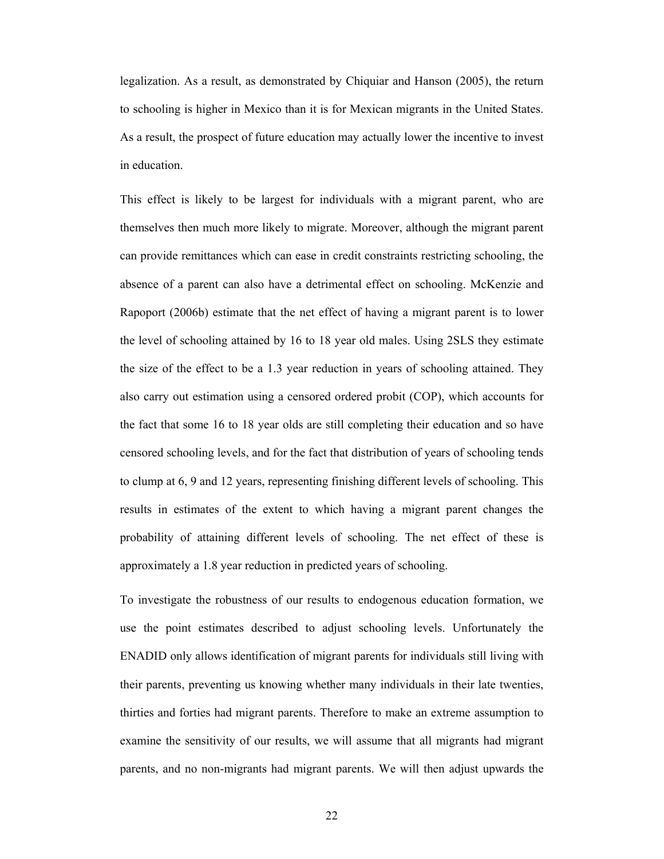legalization. As a result, as demonstrated by Chiquiar and Hanson (2005), the return to schooling is higher in Mexico than it is for Mexican migrants in the United States. As a result, the prospect of future education may actually lower the incentive to invest in education.

This effect is likely to be largest for individuals with a migrant parent, who are themselves then much more likely to migrate. Moreover, although the migrant parent can provide remittances which can ease in credit constraints restricting schooling, the absence of a parent can also have a detrimental effect on schooling. McKenzie and Rapoport (2006b) estimate that the net effect of having a migrant parent is to lower the level of schooling attained by 16 to 18 year old males. Using 2SLS they estimate the size of the effect to be a 1.3 year reduction in years of schooling attained. They also carry out estimation using a censored ordered probit (COP), which accounts for the fact that some 16 to 18 year olds are still completing their education and so have censored schooling levels, and for the fact that distribution of years of schooling tends to clump at 6, 9 and 12 years, representing finishing different levels of schooling. This results in estimates of the extent to which having a migrant parent changes the probability of attaining different levels of schooling. The net effect of these is approximately a 1.8 year reduction in predicted years of schooling.

To investigate the robustness of our results to endogenous education formation, we use the point estimates described to adjust schooling levels. Unfortunately the ENADID only allows identification of migrant parents for individuals still living with their parents, preventing us knowing whether many individuals in their late twenties, thirties and forties had migrant parents. Therefore to make an extreme assumption to examine the sensitivity of our results, we will assume that all migrants had migrant parents, and no non-migrants had migrant parents. We will then adjust upwards the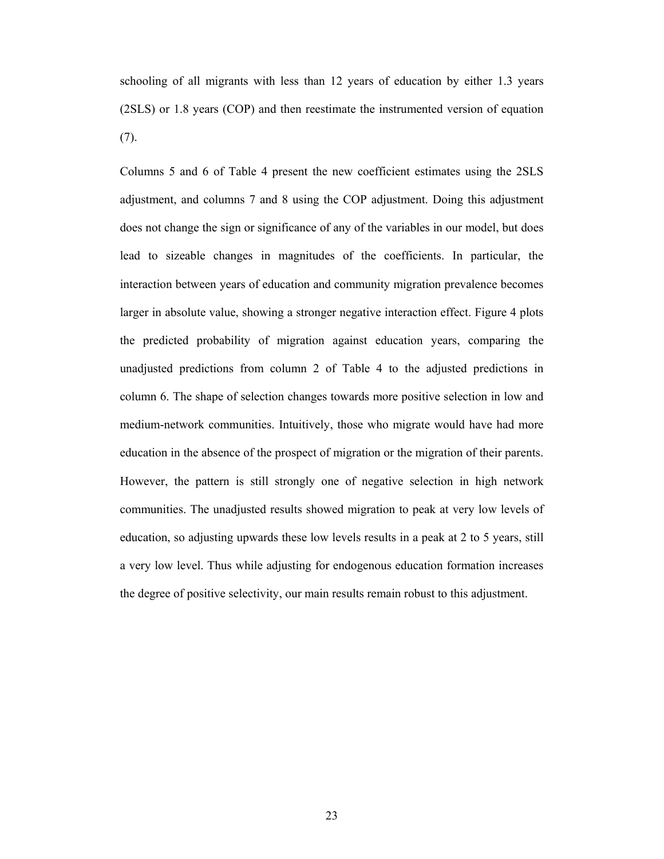schooling of all migrants with less than 12 years of education by either 1.3 years (2SLS) or 1.8 years (COP) and then reestimate the instrumented version of equation (7).

Columns 5 and 6 of Table 4 present the new coefficient estimates using the 2SLS adjustment, and columns 7 and 8 using the COP adjustment. Doing this adjustment does not change the sign or significance of any of the variables in our model, but does lead to sizeable changes in magnitudes of the coefficients. In particular, the interaction between years of education and community migration prevalence becomes larger in absolute value, showing a stronger negative interaction effect. Figure 4 plots the predicted probability of migration against education years, comparing the unadjusted predictions from column 2 of Table 4 to the adjusted predictions in column 6. The shape of selection changes towards more positive selection in low and medium-network communities. Intuitively, those who migrate would have had more education in the absence of the prospect of migration or the migration of their parents. However, the pattern is still strongly one of negative selection in high network communities. The unadjusted results showed migration to peak at very low levels of education, so adjusting upwards these low levels results in a peak at 2 to 5 years, still a very low level. Thus while adjusting for endogenous education formation increases the degree of positive selectivity, our main results remain robust to this adjustment.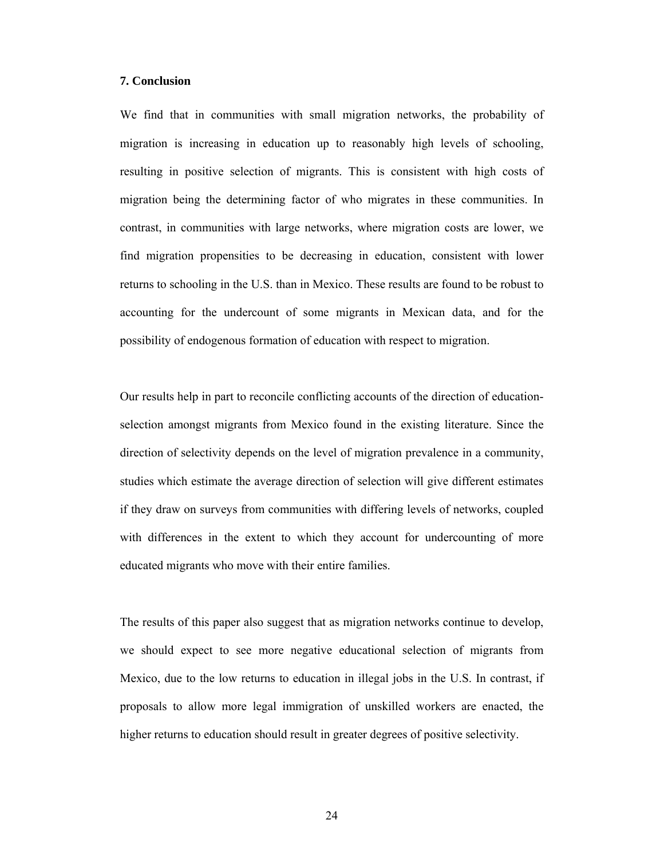#### **7. Conclusion**

We find that in communities with small migration networks, the probability of migration is increasing in education up to reasonably high levels of schooling, resulting in positive selection of migrants. This is consistent with high costs of migration being the determining factor of who migrates in these communities. In contrast, in communities with large networks, where migration costs are lower, we find migration propensities to be decreasing in education, consistent with lower returns to schooling in the U.S. than in Mexico. These results are found to be robust to accounting for the undercount of some migrants in Mexican data, and for the possibility of endogenous formation of education with respect to migration.

Our results help in part to reconcile conflicting accounts of the direction of educationselection amongst migrants from Mexico found in the existing literature. Since the direction of selectivity depends on the level of migration prevalence in a community, studies which estimate the average direction of selection will give different estimates if they draw on surveys from communities with differing levels of networks, coupled with differences in the extent to which they account for undercounting of more educated migrants who move with their entire families.

The results of this paper also suggest that as migration networks continue to develop, we should expect to see more negative educational selection of migrants from Mexico, due to the low returns to education in illegal jobs in the U.S. In contrast, if proposals to allow more legal immigration of unskilled workers are enacted, the higher returns to education should result in greater degrees of positive selectivity.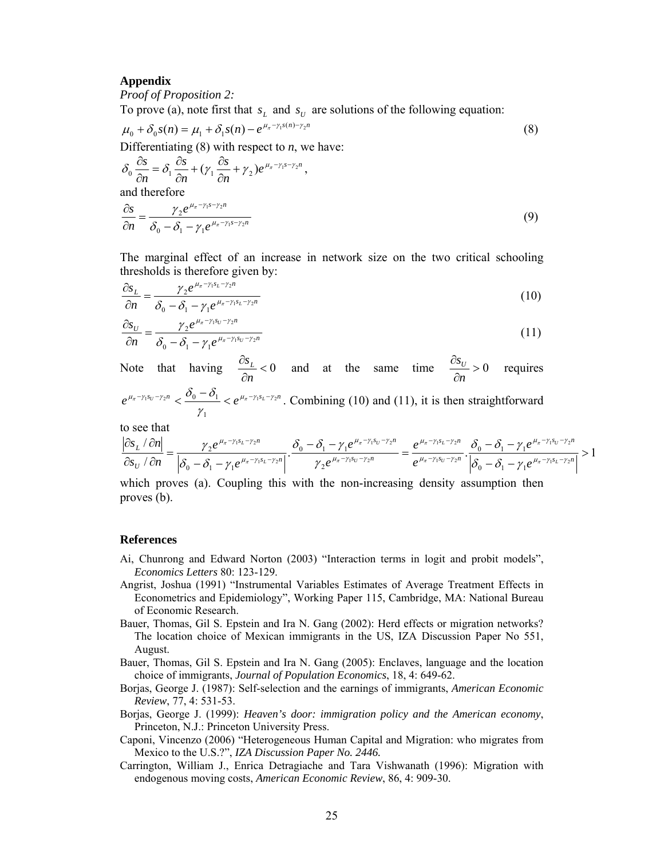#### **Appendix**

*Proof of Proposition 2:* 

To prove (a), note first that  $s_L$  and  $s_U$  are solutions of the following equation:

$$
\mu_0 + \delta_0 s(n) = \mu_1 + \delta_1 s(n) - e^{\mu_\pi - \gamma_1 s(n) - \gamma_2 n}
$$
\n(8)

Differentiating  $(8)$  with respect to *n*, we have:

$$
\delta_0 \frac{\partial s}{\partial n} = \delta_1 \frac{\partial s}{\partial n} + (\gamma_1 \frac{\partial s}{\partial n} + \gamma_2) e^{\mu_{\pi} - \gamma_1 s - \gamma_2 n},
$$
  
and therefore  

$$
\frac{\partial s}{\partial n} = \frac{\gamma_2 e^{\mu_{\pi} - \gamma_1 s - \gamma_2 n}}{\delta_0 - \delta_1 - \gamma_1 e^{\mu_{\pi} - \gamma_1 s - \gamma_2 n}}
$$
(9)

The marginal effect of an increase in network size on the two critical schooling thresholds is therefore given by:

$$
\frac{\partial s_L}{\partial n} = \frac{\gamma_2 e^{\mu_{\pi} - \gamma_1 s_L - \gamma_2 n}}{\delta_0 - \delta_1 - \gamma_1 e^{\mu_{\pi} - \gamma_1 s_L - \gamma_2 n}}
$$
(10)

$$
\frac{\partial s_{U}}{\partial n} = \frac{\gamma_{2} e^{\mu_{\pi} - \gamma_{1} s_{U} - \gamma_{2} n}}{\delta_{0} - \delta_{1} - \gamma_{1} e^{\mu_{\pi} - \gamma_{1} s_{U} - \gamma_{2} n}}
$$
(11)

Note that having  $\frac{cs_L}{2} < 0$ ∂ ∂ *n*  $\frac{s_L}{s}$  < 0 and at the same time  $\frac{\partial s_U}{\partial s} > 0$ ∂ ∂ *n*  $\frac{S_U}{S_U} > 0$  requires  $e^{\mu_{\pi} - \gamma_1 s_U - \gamma_2 n} < \frac{v_0 - v_1}{\gamma_1 s_L} < e^{\mu_{\pi} - \gamma_1 s_L - \gamma_2 n}$ 1  $\mu_{\pi} - \gamma_1 s_U - \gamma_2 n$   $\downarrow$   $\mathcal{O}_0$   $\mathcal{O}_1$   $\downarrow$   $\mu_{\pi} - \gamma_1 s_L - \gamma_2$ γ  $-\gamma_1 s_U - \gamma_2 n \leq \frac{\delta_0 - \delta_1}{\delta_0 - \delta_1} \leq e^{\mu_{\pi} - \gamma_1 s_L - \gamma_2 n}$ . Combining (10) and (11), it is then straightforward

to see that

$$
\frac{|\partial s_L \setminus \partial n|}{\partial s_U \setminus \partial n} = \frac{\gamma_2 e^{\mu_{\pi} - \gamma_1 s_L - \gamma_2 n}}{\left|\delta_0 - \delta_1 - \gamma_1 e^{\mu_{\pi} - \gamma_1 s_L - \gamma_2 n}\right|} \cdot \frac{\delta_0 - \delta_1 - \gamma_1 e^{\mu_{\pi} - \gamma_1 s_U - \gamma_2 n}}{\gamma_2 e^{\mu_{\pi} - \gamma_1 s_U - \gamma_2 n}} = \frac{e^{\mu_{\pi} - \gamma_1 s_L - \gamma_2 n}}{e^{\mu_{\pi} - \gamma_1 s_U - \gamma_2 n}} \cdot \frac{\delta_0 - \delta_1 - \gamma_1 e^{\mu_{\pi} - \gamma_1 s_U - \gamma_2 n}}{\left|\delta_0 - \delta_1 - \gamma_1 e^{\mu_{\pi} - \gamma_1 s_L - \gamma_2 n}\right|} > 1
$$

which proves (a). Coupling this with the non-increasing density assumption then proves (b).

#### **References**

- Ai, Chunrong and Edward Norton (2003) "Interaction terms in logit and probit models", *Economics Letters* 80: 123-129.
- Angrist, Joshua (1991) "Instrumental Variables Estimates of Average Treatment Effects in Econometrics and Epidemiology", Working Paper 115, Cambridge, MA: National Bureau of Economic Research.
- Bauer, Thomas, Gil S. Epstein and Ira N. Gang (2002): Herd effects or migration networks? The location choice of Mexican immigrants in the US, IZA Discussion Paper No 551, August.
- Bauer, Thomas, Gil S. Epstein and Ira N. Gang (2005): Enclaves, language and the location choice of immigrants, *Journal of Population Economics*, 18, 4: 649-62.
- Borjas, George J. (1987): Self-selection and the earnings of immigrants, *American Economic Review*, 77, 4: 531-53.
- Borjas, George J. (1999): *Heaven's door: immigration policy and the American economy*, Princeton, N.J.: Princeton University Press.
- Caponi, Vincenzo (2006) "Heterogeneous Human Capital and Migration: who migrates from Mexico to the U.S.?", *IZA Discussion Paper No. 2446.*
- Carrington, William J., Enrica Detragiache and Tara Vishwanath (1996): Migration with endogenous moving costs, *American Economic Review*, 86, 4: 909-30.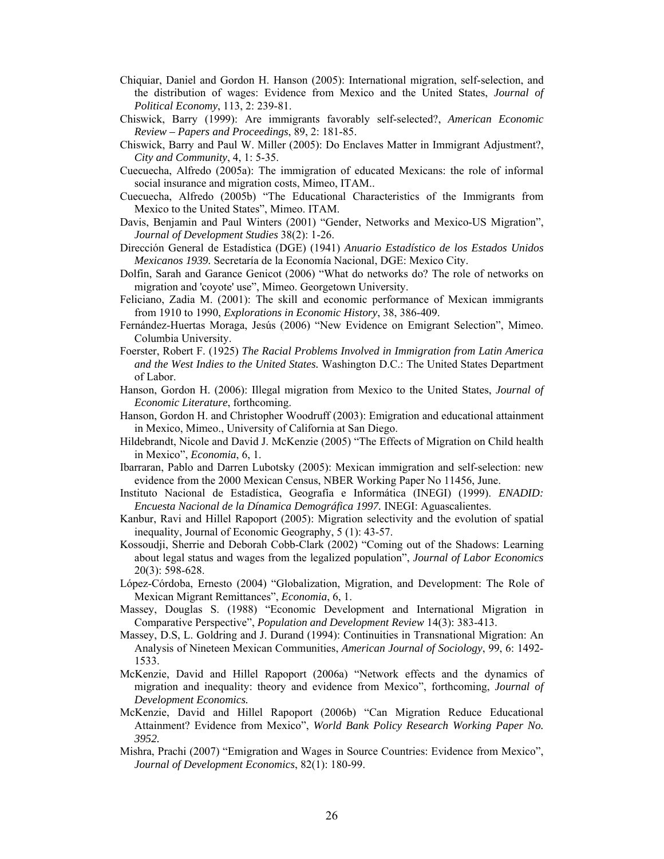- Chiquiar, Daniel and Gordon H. Hanson (2005): International migration, self-selection, and the distribution of wages: Evidence from Mexico and the United States, *Journal of Political Economy*, 113, 2: 239-81.
- Chiswick, Barry (1999): Are immigrants favorably self-selected?, *American Economic Review – Papers and Proceedings*, 89, 2: 181-85.
- Chiswick, Barry and Paul W. Miller (2005): Do Enclaves Matter in Immigrant Adjustment?, *City and Community*, 4, 1: 5-35.
- Cuecuecha, Alfredo (2005a): The immigration of educated Mexicans: the role of informal social insurance and migration costs, Mimeo, ITAM..
- Cuecuecha, Alfredo (2005b) "The Educational Characteristics of the Immigrants from Mexico to the United States", Mimeo. ITAM.
- Davis, Benjamin and Paul Winters (2001) "Gender, Networks and Mexico-US Migration", *Journal of Development Studies* 38(2): 1-26.
- Dirección General de Estadística (DGE) (1941) *Anuario Estadístico de los Estados Unidos Mexicanos 1939.* Secretaría de la Economía Nacional, DGE: Mexico City.
- Dolfin, Sarah and Garance Genicot (2006) "What do networks do? The role of networks on migration and 'coyote' use", Mimeo. Georgetown University.
- Feliciano, Zadia M. (2001): The skill and economic performance of Mexican immigrants from 1910 to 1990, *Explorations in Economic History*, 38, 386-409.
- Fernández-Huertas Moraga, Jesús (2006) "New Evidence on Emigrant Selection", Mimeo. Columbia University.
- Foerster, Robert F. (1925) *The Racial Problems Involved in Immigration from Latin America and the West Indies to the United States.* Washington D.C.: The United States Department of Labor.
- Hanson, Gordon H. (2006): Illegal migration from Mexico to the United States, *Journal of Economic Literature*, forthcoming.
- Hanson, Gordon H. and Christopher Woodruff (2003): Emigration and educational attainment in Mexico, Mimeo., University of California at San Diego.
- Hildebrandt, Nicole and David J. McKenzie (2005) "The Effects of Migration on Child health in Mexico", *Economia*, 6, 1.
- Ibarraran, Pablo and Darren Lubotsky (2005): Mexican immigration and self-selection: new evidence from the 2000 Mexican Census, NBER Working Paper No 11456, June.
- Instituto Nacional de Estadística, Geografía e Informática (INEGI) (1999). *ENADID: Encuesta Nacional de la Dínamica Demográfica 1997.* INEGI: Aguascalientes.
- Kanbur, Ravi and Hillel Rapoport (2005): Migration selectivity and the evolution of spatial inequality, Journal of Economic Geography, 5 (1): 43-57.
- Kossoudji, Sherrie and Deborah Cobb-Clark (2002) "Coming out of the Shadows: Learning about legal status and wages from the legalized population", *Journal of Labor Economics*  20(3): 598-628.
- López-Córdoba, Ernesto (2004) "Globalization, Migration, and Development: The Role of Mexican Migrant Remittances", *Economia*, 6, 1.
- Massey, Douglas S. (1988) "Economic Development and International Migration in Comparative Perspective", *Population and Development Review* 14(3): 383-413.
- Massey, D.S, L. Goldring and J. Durand (1994): Continuities in Transnational Migration: An Analysis of Nineteen Mexican Communities, *American Journal of Sociology*, 99, 6: 1492- 1533.
- McKenzie, David and Hillel Rapoport (2006a) "Network effects and the dynamics of migration and inequality: theory and evidence from Mexico", forthcoming, *Journal of Development Economics.*
- McKenzie, David and Hillel Rapoport (2006b) "Can Migration Reduce Educational Attainment? Evidence from Mexico", *World Bank Policy Research Working Paper No. 3952.*
- Mishra, Prachi (2007) "Emigration and Wages in Source Countries: Evidence from Mexico", *Journal of Development Economics*, 82(1): 180-99.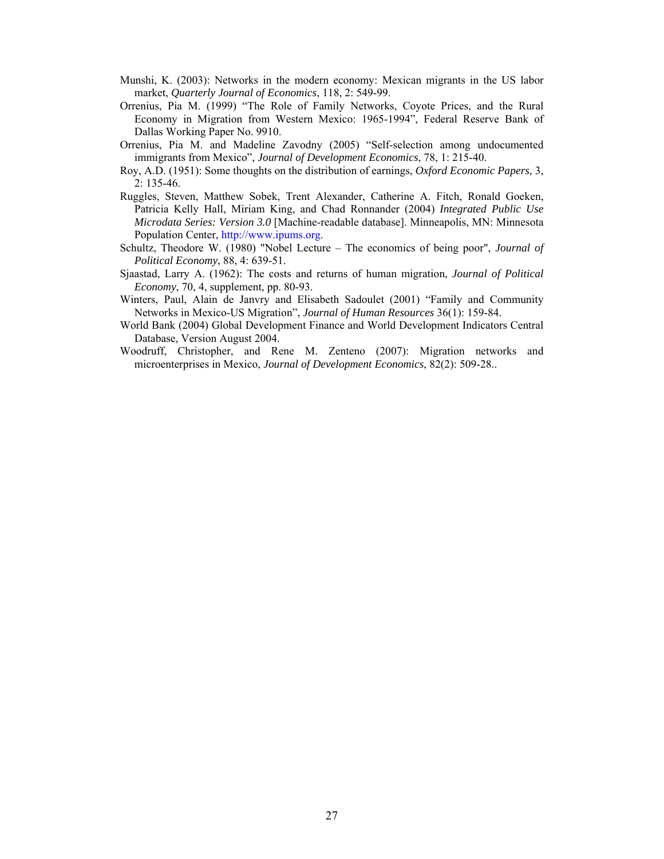- Munshi, K. (2003): Networks in the modern economy: Mexican migrants in the US labor market, *Quarterly Journal of Economics*, 118, 2: 549-99.
- Orrenius, Pia M. (1999) "The Role of Family Networks, Coyote Prices, and the Rural Economy in Migration from Western Mexico: 1965-1994", Federal Reserve Bank of Dallas Working Paper No. 9910.
- Orrenius, Pia M. and Madeline Zavodny (2005) "Self-selection among undocumented immigrants from Mexico", *Journal of Development Economics*, 78, 1: 215-40.
- Roy, A.D. (1951): Some thoughts on the distribution of earnings, *Oxford Economic Papers*, 3, 2: 135-46.
- Ruggles, Steven, Matthew Sobek, Trent Alexander, Catherine A. Fitch, Ronald Goeken, Patricia Kelly Hall, Miriam King, and Chad Ronnander (2004) *Integrated Public Use Microdata Series: Version 3.0* [Machine-readable database]. Minneapolis, MN: Minnesota Population Center, http://www.ipums.org.
- Schultz, Theodore W. (1980) "Nobel Lecture The economics of being poor", *Journal of Political Economy*, 88, 4: 639-51.
- Sjaastad, Larry A. (1962): The costs and returns of human migration, *Journal of Political Economy*, 70, 4, supplement, pp. 80-93.
- Winters, Paul, Alain de Janvry and Elisabeth Sadoulet (2001) "Family and Community Networks in Mexico-US Migration", *Journal of Human Resources* 36(1): 159-84.
- World Bank (2004) Global Development Finance and World Development Indicators Central Database, Version August 2004.
- Woodruff, Christopher, and Rene M. Zenteno (2007): Migration networks and microenterprises in Mexico, *Journal of Development Economics*, 82(2): 509-28..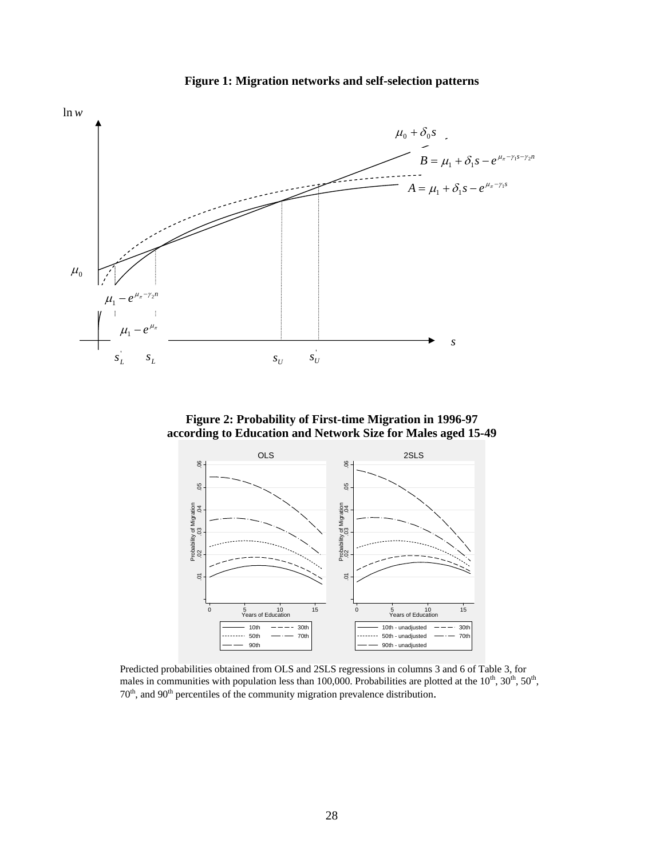

**Figure 1: Migration networks and self-selection patterns**

**Figure 2: Probability of First-time Migration in 1996-97 according to Education and Network Size for Males aged 15-49**



Predicted probabilities obtained from OLS and 2SLS regressions in columns 3 and 6 of Table 3, for males in communities with population less than 100,000. Probabilities are plotted at the  $10^{th}$ ,  $30^{th}$ ,  $50^{th}$ ,  $70<sup>th</sup>$ , and  $90<sup>th</sup>$  percentiles of the community migration prevalence distribution.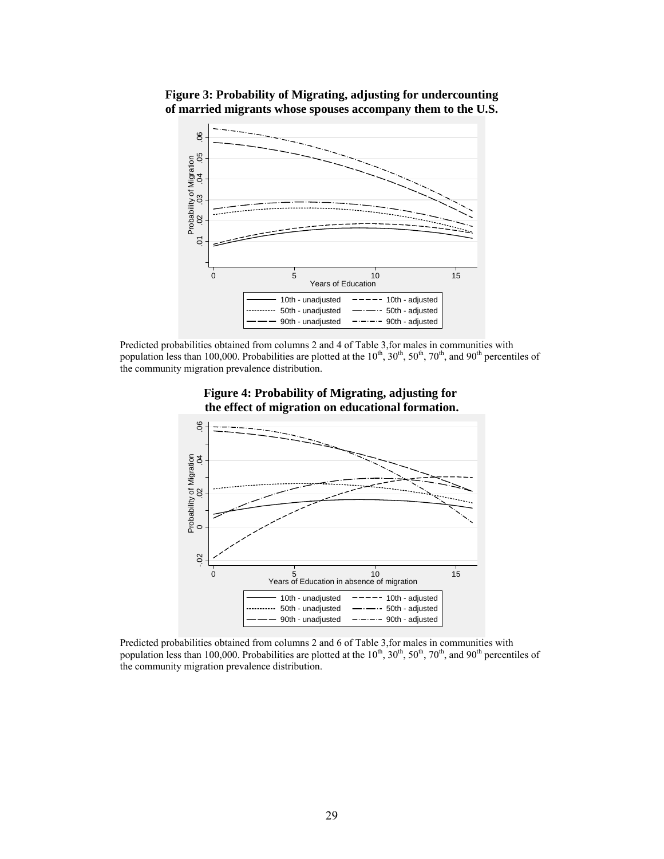



Predicted probabilities obtained from columns 2 and 4 of Table 3,for males in communities with population less than 100,000. Probabilities are plotted at the  $10^{th}$ ,  $30^{th}$ ,  $50^{th}$ ,  $70^{th}$ , and  $90^{th}$  percentiles of the community migration prevalence distribution.





Predicted probabilities obtained from columns 2 and 6 of Table 3,for males in communities with population less than 100,000. Probabilities are plotted at the  $10^{th}$ ,  $30^{th}$ ,  $50^{th}$ ,  $70^{th}$ , and  $90^{th}$  percentiles of the community migration prevalence distribution.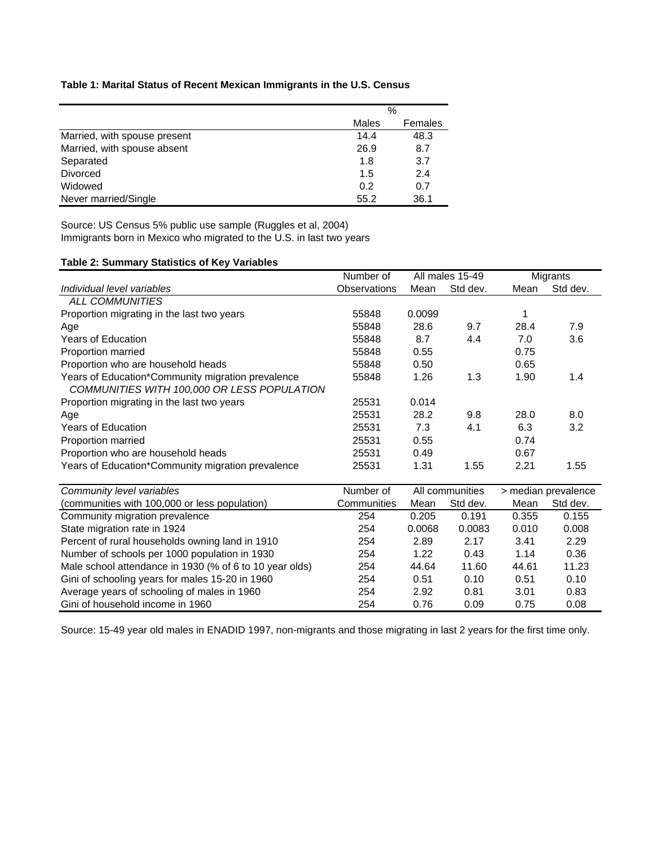### **Table 1: Marital Status of Recent Mexican Immigrants in the U.S. Census**

|                              |       | $\%$    |
|------------------------------|-------|---------|
|                              | Males | Females |
| Married, with spouse present | 14.4  | 48.3    |
| Married, with spouse absent  | 26.9  | 8.7     |
| Separated                    | 1.8   | 3.7     |
| <b>Divorced</b>              | 1.5   | 2.4     |
| Widowed                      | 0.2   | 0.7     |
| Never married/Single         | 55.2  | 36.1    |

Source: US Census 5% public use sample (Ruggles et al, 2004) Immigrants born in Mexico who migrated to the U.S. in last two years

# **Table 2: Summary Statistics of Key Variables**

|                                                         | Number of           | All males 15-49 |          | Migrants            |          |
|---------------------------------------------------------|---------------------|-----------------|----------|---------------------|----------|
| Individual level variables                              | <b>Observations</b> | Mean            | Std dev. | Mean                | Std dev. |
| ALL COMMUNITIES                                         |                     |                 |          |                     |          |
| Proportion migrating in the last two years              | 55848               | 0.0099          |          | 1                   |          |
| Age                                                     | 55848               | 28.6            | 9.7      | 28.4                | 7.9      |
| <b>Years of Education</b>                               | 55848               | 8.7             | 4.4      | 7.0                 | 3.6      |
| Proportion married                                      | 55848               | 0.55            |          | 0.75                |          |
| Proportion who are household heads                      | 55848               | 0.50            |          | 0.65                |          |
| Years of Education*Community migration prevalence       | 55848               | 1.26            | 1.3      | 1.90                | 1.4      |
| COMMUNITIES WITH 100,000 OR LESS POPULATION             |                     |                 |          |                     |          |
| Proportion migrating in the last two years              | 25531               | 0.014           |          |                     |          |
| Age                                                     | 25531               | 28.2            | 9.8      | 28.0                | 8.0      |
| <b>Years of Education</b>                               | 25531               | 7.3             | 4.1      | 6.3                 | 3.2      |
| Proportion married                                      | 25531               | 0.55            |          | 0.74                |          |
| Proportion who are household heads                      | 25531               | 0.49            |          | 0.67                |          |
| Years of Education*Community migration prevalence       | 25531               | 1.31            | 1.55     | 2.21                | 1.55     |
|                                                         |                     |                 |          |                     |          |
| Community level variables                               | Number of           | All communities |          | > median prevalence |          |
| (communities with 100,000 or less population)           | Communities         | Mean            | Std dev. | Mean                | Std dev. |
| Community migration prevalence                          | 254                 | 0.205           | 0.191    | 0.355               | 0.155    |
| State migration rate in 1924                            | 254                 | 0.0068          | 0.0083   | 0.010               | 0.008    |
| Percent of rural households owning land in 1910         | 254                 | 2.89            | 2.17     | 3.41                | 2.29     |
| Number of schools per 1000 population in 1930           | 254                 | 1.22            | 0.43     | 1.14                | 0.36     |
| Male school attendance in 1930 (% of 6 to 10 year olds) | 254                 | 44.64           | 11.60    | 44.61               | 11.23    |
| Gini of schooling years for males 15-20 in 1960         | 254                 | 0.51            | 0.10     | 0.51                | 0.10     |
| Average years of schooling of males in 1960             | 254                 | 2.92            | 0.81     | 3.01                | 0.83     |
| Gini of household income in 1960                        | 254                 | 0.76            | 0.09     | 0.75                | 0.08     |

Source: 15-49 year old males in ENADID 1997, non-migrants and those migrating in last 2 years for the first time only.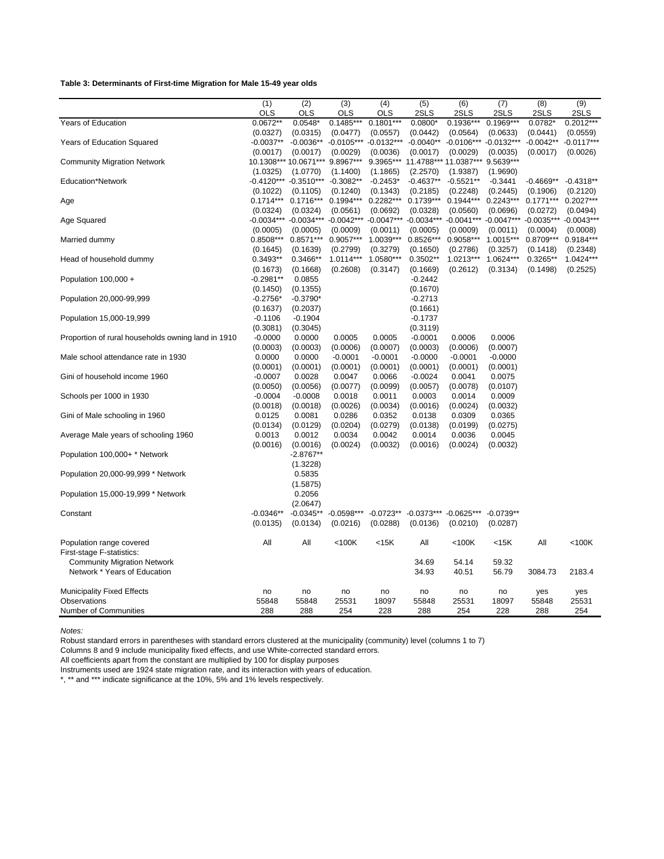#### **Table 3: Determinants of First-time Migration for Male 15-49 year olds**

|                                                    | (1)          | (2)                       | (3)          | (4)          | $\overline{(5)}$                | (6)                       | (7)          | (8)          | (9)          |
|----------------------------------------------------|--------------|---------------------------|--------------|--------------|---------------------------------|---------------------------|--------------|--------------|--------------|
|                                                    | <b>OLS</b>   | <b>OLS</b>                | <b>OLS</b>   | OLS          | 2SLS                            | 2SLS                      | 2SLS         | 2SLS         | 2SLS         |
| Years of Education                                 | $0.0672**$   | $0.0548*$                 | $0.1485***$  | $0.1801***$  | $0.0800*$                       | $0.1936***$               | $0.1969***$  | 0.0782*      | $0.2012***$  |
|                                                    | (0.0327)     | (0.0315)                  | (0.0477)     | (0.0557)     | (0.0442)                        | (0.0564)                  | (0.0633)     | (0.0441)     | (0.0559)     |
| Years of Education Squared                         | $-0.0037**$  | $-0.0036**$               | $-0.0105***$ | $-0.0132***$ | $-0.0040**$                     | $-0.0106***$              | $-0.0132***$ | $-0.0042**$  | $-0.0117***$ |
|                                                    | (0.0017)     | (0.0017)                  | (0.0029)     | (0.0036)     | (0.0017)                        | (0.0029)                  | (0.0035)     | (0.0017)     | (0.0026)     |
| <b>Community Migration Network</b>                 |              | 10.1308*** 10.0671***     | 9.8967***    |              | 9.3965*** 11.4788*** 11.0387*** |                           | 9.5639***    |              |              |
|                                                    | (1.0325)     | (1.0770)                  | (1.1400)     | (1.1865)     | (2.2570)                        | (1.9387)                  | (1.9690)     |              |              |
| Education*Network                                  |              | $-0.4120***$ $-0.3510***$ | $-0.3082**$  | $-0.2453*$   | $-0.4637**$                     | $-0.5521**$               | $-0.3441$    | $-0.4669**$  | $-0.4318**$  |
|                                                    | (0.1022)     | (0.1105)                  | (0.1240)     | (0.1343)     | (0.2185)                        | (0.2248)                  | (0.2445)     | (0.1906)     | (0.2120)     |
| Age                                                | $0.1714***$  | $0.1716***$               | $0.1994***$  | $0.2282***$  | $0.1739***$                     | $0.1944***$               | $0.2243***$  | $0.1771***$  | $0.2027***$  |
|                                                    | (0.0324)     | (0.0324)                  | (0.0561)     | (0.0692)     | (0.0328)                        | (0.0560)                  | (0.0696)     | (0.0272)     | (0.0494)     |
| Age Squared                                        | $-0.0034***$ | $-0.0034***$              | $-0.0042***$ | $-0.0047***$ | $-0.0034***$                    | $-0.0041***$              | $-0.0047***$ | $-0.0035***$ | $-0.0043**$  |
|                                                    | (0.0005)     | (0.0005)                  | (0.0009)     | (0.0011)     | (0.0005)                        | (0.0009)                  | (0.0011)     | (0.0004)     | (0.0008)     |
| Married dummy                                      | 0.8508***    | $0.8571***$               | 0.9057***    | 1.0039***    | $0.8526***$                     | 0.9058***                 | 1.0015***    | 0.8709***    | 0.9184***    |
|                                                    | (0.1645)     | (0.1639)                  | (0.2799)     | (0.3279)     | (0.1650)                        | (0.2786)                  | (0.3257)     | (0.1418)     | (0.2348)     |
| Head of household dummy                            | $0.3493**$   | $0.3466**$                | 1.0114***    | 1.0580***    | $0.3502**$                      | $1.0213***$               | 1.0624***    | $0.3265**$   | 1.0424***    |
|                                                    | (0.1673)     | (0.1668)                  | (0.2608)     | (0.3147)     | (0.1669)                        | (0.2612)                  | (0.3134)     | (0.1498)     | (0.2525)     |
| Population 100,000 +                               | $-0.2981**$  | 0.0855                    |              |              | $-0.2442$                       |                           |              |              |              |
|                                                    | (0.1450)     | (0.1355)                  |              |              | (0.1670)                        |                           |              |              |              |
| Population 20,000-99,999                           | $-0.2756*$   | $-0.3790*$                |              |              | $-0.2713$                       |                           |              |              |              |
|                                                    | (0.1637)     | (0.2037)                  |              |              | (0.1661)                        |                           |              |              |              |
| Population 15,000-19,999                           | $-0.1106$    | $-0.1904$                 |              |              | $-0.1737$                       |                           |              |              |              |
|                                                    | (0.3081)     | (0.3045)                  |              |              | (0.3119)                        |                           |              |              |              |
| Proportion of rural households owning land in 1910 | $-0.0000$    | 0.0000                    | 0.0005       | 0.0005       | $-0.0001$                       | 0.0006                    | 0.0006       |              |              |
|                                                    | (0.0003)     | (0.0003)                  | (0.0006)     | (0.0007)     | (0.0003)                        | (0.0006)                  | (0.0007)     |              |              |
| Male school attendance rate in 1930                | 0.0000       | 0.0000                    | $-0.0001$    | $-0.0001$    | $-0.0000$                       | $-0.0001$                 | $-0.0000$    |              |              |
|                                                    | (0.0001)     | (0.0001)                  | (0.0001)     | (0.0001)     | (0.0001)                        | (0.0001)                  | (0.0001)     |              |              |
| Gini of household income 1960                      | $-0.0007$    | 0.0028                    | 0.0047       | 0.0066       | $-0.0024$                       | 0.0041                    | 0.0075       |              |              |
|                                                    | (0.0050)     | (0.0056)                  | (0.0077)     | (0.0099)     | (0.0057)                        | (0.0078)                  | (0.0107)     |              |              |
| Schools per 1000 in 1930                           | $-0.0004$    | $-0.0008$                 | 0.0018       | 0.0011       | 0.0003                          | 0.0014                    | 0.0009       |              |              |
|                                                    | (0.0018)     | (0.0018)                  | (0.0026)     | (0.0034)     | (0.0016)                        | (0.0024)                  | (0.0032)     |              |              |
| Gini of Male schooling in 1960                     | 0.0125       | 0.0081                    | 0.0286       | 0.0352       | 0.0138                          | 0.0309                    | 0.0365       |              |              |
|                                                    | (0.0134)     | (0.0129)                  | (0.0204)     | (0.0279)     | (0.0138)                        | (0.0199)                  | (0.0275)     |              |              |
| Average Male years of schooling 1960               | 0.0013       | 0.0012                    | 0.0034       | 0.0042       | 0.0014                          | 0.0036                    | 0.0045       |              |              |
|                                                    | (0.0016)     | (0.0016)                  | (0.0024)     | (0.0032)     | (0.0016)                        | (0.0024)                  | (0.0032)     |              |              |
| Population 100,000+ * Network                      |              | $-2.8767**$               |              |              |                                 |                           |              |              |              |
|                                                    |              | (1.3228)                  |              |              |                                 |                           |              |              |              |
| Population 20,000-99,999 * Network                 |              | 0.5835                    |              |              |                                 |                           |              |              |              |
|                                                    |              | (1.5875)                  |              |              |                                 |                           |              |              |              |
| Population 15,000-19,999 * Network                 |              | 0.2056                    |              |              |                                 |                           |              |              |              |
|                                                    |              | (2.0647)                  |              |              |                                 |                           |              |              |              |
| Constant                                           | $-0.0346**$  | $-0.0345**$               | $-0.0598***$ | $-0.0723**$  |                                 | $-0.0373***$ $-0.0625***$ | $-0.0739**$  |              |              |
|                                                    | (0.0135)     | (0.0134)                  | (0.0216)     | (0.0288)     | (0.0136)                        | (0.0210)                  | (0.0287)     |              |              |
|                                                    |              |                           |              |              |                                 |                           |              |              |              |
| Population range covered                           | All          | All                       | $<$ 100 $K$  | $<$ 15 $K$   | All                             | $<$ 100 $K$               | <15K         | All          | $<$ 100 $K$  |
| First-stage F-statistics:                          |              |                           |              |              |                                 |                           |              |              |              |
| <b>Community Migration Network</b>                 |              |                           |              |              | 34.69                           | 54.14                     | 59.32        |              |              |
| Network * Years of Education                       |              |                           |              |              | 34.93                           | 40.51                     | 56.79        | 3084.73      | 2183.4       |
|                                                    |              |                           |              |              |                                 |                           |              |              |              |
| <b>Municipality Fixed Effects</b>                  | no           | no                        | no           | no           | no                              | no                        | no           | yes          | yes          |
| Observations                                       | 55848        | 55848                     | 25531        | 18097        | 55848                           | 25531                     | 18097        | 55848        | 25531        |
| <b>Number of Communities</b>                       | 288          | 288                       | 254          | 228          | 288                             | 254                       | 228          | 288          | 254          |
|                                                    |              |                           |              |              |                                 |                           |              |              |              |

*Notes:*

Robust standard errors in parentheses with standard errors clustered at the municipality (community) level (columns 1 to 7)

Columns 8 and 9 include municipality fixed effects, and use White-corrected standard errors.

All coefficients apart from the constant are multiplied by 100 for display purposes

Instruments used are 1924 state migration rate, and its interaction with years of education.

\*, \*\* and \*\*\* indicate significance at the 10%, 5% and 1% levels respectively.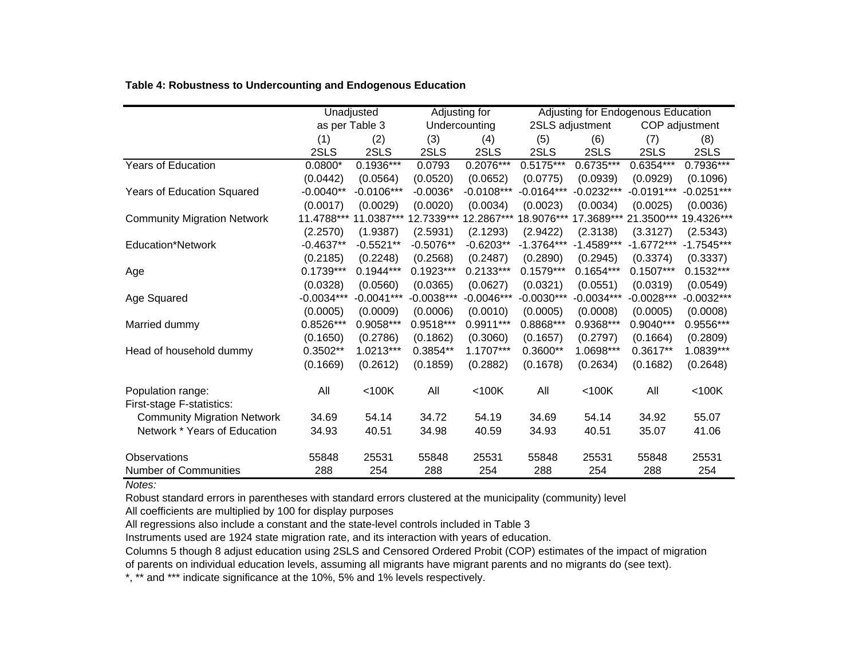| Table 4: Robustness to Undercounting and Endogenous Education |  |
|---------------------------------------------------------------|--|
|---------------------------------------------------------------|--|

|                                                |              | Unadjusted     |               | Adjusting for | Adjusting for Endogenous Education |              |                |              |
|------------------------------------------------|--------------|----------------|---------------|---------------|------------------------------------|--------------|----------------|--------------|
|                                                |              | as per Table 3 | Undercounting |               | 2SLS adjustment                    |              | COP adjustment |              |
|                                                | (1)          | (2)            | (3)           | (4)           | (5)                                | (6)          | (7)            | (8)          |
|                                                | 2SLS         | 2SLS           | 2SLS          | 2SLS          | 2SLS                               | 2SLS         | 2SLS           | 2SLS         |
| <b>Years of Education</b>                      | $0.0800*$    | 0.1936***      | 0.0793        | 0.2076***     | 0.5175***                          | 0.6735***    | 0.6354***      | 0.7936***    |
|                                                | (0.0442)     | (0.0564)       | (0.0520)      | (0.0652)      | (0.0775)                           | (0.0939)     | (0.0929)       | (0.1096)     |
| Years of Education Squared                     | $-0.0040**$  | $-0.0106***$   | $-0.0036*$    | $-0.0108***$  | $-0.0164***$                       | $-0.0232***$ | $-0.0191***$   | $-0.0251***$ |
|                                                | (0.0017)     | (0.0029)       | (0.0020)      | (0.0034)      | (0.0023)                           | (0.0034)     | (0.0025)       | (0.0036)     |
| <b>Community Migration Network</b>             | 11.4788***   | 11.0387***     | 12.7339***    | 12.2867***    | 18.9076***                         | 17.3689***   | 21.3500***     | 19.4326***   |
|                                                | (2.2570)     | (1.9387)       | (2.5931)      | (2.1293)      | (2.9422)                           | (2.3138)     | (3.3127)       | (2.5343)     |
| Education*Network                              | $-0.4637**$  | $-0.5521**$    | $-0.5076**$   | $-0.6203**$   | $-1.3764***$                       | $-1.4589***$ | $-1.6772***$   | $-1.7545***$ |
|                                                | (0.2185)     | (0.2248)       | (0.2568)      | (0.2487)      | (0.2890)                           | (0.2945)     | (0.3374)       | (0.3337)     |
| Age                                            | $0.1739***$  | $0.1944***$    | $0.1923***$   | 0.2133***     | $0.1579***$                        | $0.1654***$  | $0.1507***$    | $0.1532***$  |
|                                                | (0.0328)     | (0.0560)       | (0.0365)      | (0.0627)      | (0.0321)                           | (0.0551)     | (0.0319)       | (0.0549)     |
| Age Squared                                    | $-0.0034***$ | $-0.0041***$   | $-0.0038***$  | $-0.0046***$  | $-0.0030***$                       | $-0.0034***$ | $-0.0028***$   | $-0.0032***$ |
|                                                | (0.0005)     | (0.0009)       | (0.0006)      | (0.0010)      | (0.0005)                           | (0.0008)     | (0.0005)       | (0.0008)     |
| Married dummy                                  | 0.8526***    | $0.9058***$    | $0.9518***$   | 0.9911***     | $0.8868***$                        | 0.9368***    | 0.9040***      | 0.9556***    |
|                                                | (0.1650)     | (0.2786)       | (0.1862)      | (0.3060)      | (0.1657)                           | (0.2797)     | (0.1664)       | (0.2809)     |
| Head of household dummy                        | 0.3502**     | 1.0213***      | 0.3854**      | 1.1707***     | 0.3600**                           | 1.0698***    | $0.3617**$     | 1.0839***    |
|                                                | (0.1669)     | (0.2612)       | (0.1859)      | (0.2882)      | (0.1678)                           | (0.2634)     | (0.1682)       | (0.2648)     |
| Population range:<br>First-stage F-statistics: | All          | $<$ 100 $K$    | All           | $<$ 100 $K$   | All                                | $<$ 100 $K$  | All            | $<$ 100 $K$  |
| <b>Community Migration Network</b>             | 34.69        | 54.14          | 34.72         | 54.19         | 34.69                              | 54.14        | 34.92          | 55.07        |
| Network * Years of Education                   | 34.93        | 40.51          | 34.98         | 40.59         | 34.93                              | 40.51        | 35.07          | 41.06        |
| Observations                                   | 55848        | 25531          | 55848         | 25531         | 55848                              | 25531        | 55848          | 25531        |
| <b>Number of Communities</b>                   | 288          | 254            | 288           | 254           | 288                                | 254          | 288            | 254          |

*Notes:*

Robust standard errors in parentheses with standard errors clustered at the municipality (community) level

All coefficients are multiplied by 100 for display purposes

All regressions also include a constant and the state-level controls included in Table 3

Instruments used are 1924 state migration rate, and its interaction with years of education.

Columns 5 though 8 adjust education using 2SLS and Censored Ordered Probit (COP) estimates of the impact of migration of parents on individual education levels, assuming all migrants have migrant parents and no migrants do (see text).

\*, \*\* and \*\*\* indicate significance at the 10%, 5% and 1% levels respectively.